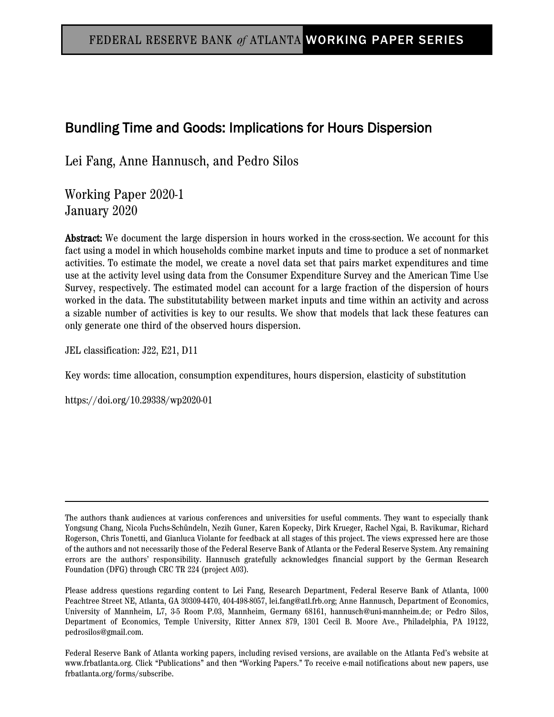# Bundling Time and Goods: Implications for Hours Dispersion

Lei Fang, Anne Hannusch, and Pedro Silos

Working Paper 2020-1 January 2020

Abstract: We document the large dispersion in hours worked in the cross-section. We account for this fact using a model in which households combine market inputs and time to produce a set of nonmarket activities. To estimate the model, we create a novel data set that pairs market expenditures and time use at the activity level using data from the Consumer Expenditure Survey and the American Time Use Survey, respectively. The estimated model can account for a large fraction of the dispersion of hours worked in the data. The substitutability between market inputs and time within an activity and across a sizable number of activities is key to our results. We show that models that lack these features can only generate one third of the observed hours dispersion.

JEL classification: J22, E21, D11

Key words: time allocation, consumption expenditures, hours dispersion, elasticity of substitution

https://doi.org/10.29338/wp2020-01

Federal Reserve Bank of Atlanta working papers, including revised versions, are available on the Atlanta Fed's website at www.frbatlanta.org. Click "Publications" and then "Working Papers." To receive e-mail notifications about new papers, use frbatlanta.org/forms/subscribe.

The authors thank audiences at various conferences and universities for useful comments. They want to especially thank Yongsung Chang, Nicola Fuchs-Schündeln, Nezih Guner, Karen Kopecky, Dirk Krueger, Rachel Ngai, B. Ravikumar, Richard Rogerson, Chris Tonetti, and Gianluca Violante for feedback at all stages of this project. The views expressed here are those of the authors and not necessarily those of the Federal Reserve Bank of Atlanta or the Federal Reserve System. Any remaining errors are the authors' responsibility. Hannusch gratefully acknowledges financial support by the German Research Foundation (DFG) through CRC TR 224 (project A03).

Please address questions regarding content to Lei Fang, Research Department, Federal Reserve Bank of Atlanta, 1000 Peachtree Street NE, Atlanta, GA 30309-4470, 404-498-8057, lei.fang@atl.frb.org; Anne Hannusch, Department of Economics, University of Mannheim, L7, 3-5 Room P.03, Mannheim, Germany 68161, hannusch@uni-mannheim.de; or Pedro Silos, Department of Economics, Temple University, Ritter Annex 879, 1301 Cecil B. Moore Ave., Philadelphia, PA 19122, pedrosilos@gmail.com.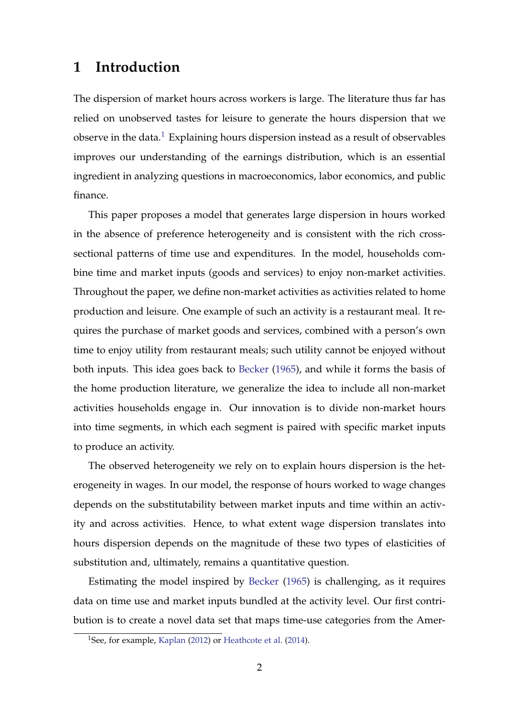# **1 Introduction**

The dispersion of market hours across workers is large. The literature thus far has relied on unobserved tastes for leisure to generate the hours dispersion that we observe in the data.<sup>[1](#page-1-0)</sup> Explaining hours dispersion instead as a result of observables improves our understanding of the earnings distribution, which is an essential ingredient in analyzing questions in macroeconomics, labor economics, and public finance.

This paper proposes a model that generates large dispersion in hours worked in the absence of preference heterogeneity and is consistent with the rich crosssectional patterns of time use and expenditures. In the model, households combine time and market inputs (goods and services) to enjoy non-market activities. Throughout the paper, we define non-market activities as activities related to home production and leisure. One example of such an activity is a restaurant meal. It requires the purchase of market goods and services, combined with a person's own time to enjoy utility from restaurant meals; such utility cannot be enjoyed without both inputs. This idea goes back to [Becker](#page-28-0) [\(1965\)](#page-28-0), and while it forms the basis of the home production literature, we generalize the idea to include all non-market activities households engage in. Our innovation is to divide non-market hours into time segments, in which each segment is paired with specific market inputs to produce an activity.

The observed heterogeneity we rely on to explain hours dispersion is the heterogeneity in wages. In our model, the response of hours worked to wage changes depends on the substitutability between market inputs and time within an activity and across activities. Hence, to what extent wage dispersion translates into hours dispersion depends on the magnitude of these two types of elasticities of substitution and, ultimately, remains a quantitative question.

Estimating the model inspired by [Becker](#page-28-0) [\(1965\)](#page-28-0) is challenging, as it requires data on time use and market inputs bundled at the activity level. Our first contribution is to create a novel data set that maps time-use categories from the Amer-

<span id="page-1-0"></span><sup>&</sup>lt;sup>1</sup>See, for example, [Kaplan](#page-29-0) [\(2012\)](#page-29-0) or [Heathcote et al.](#page-29-1) [\(2014\)](#page-29-1).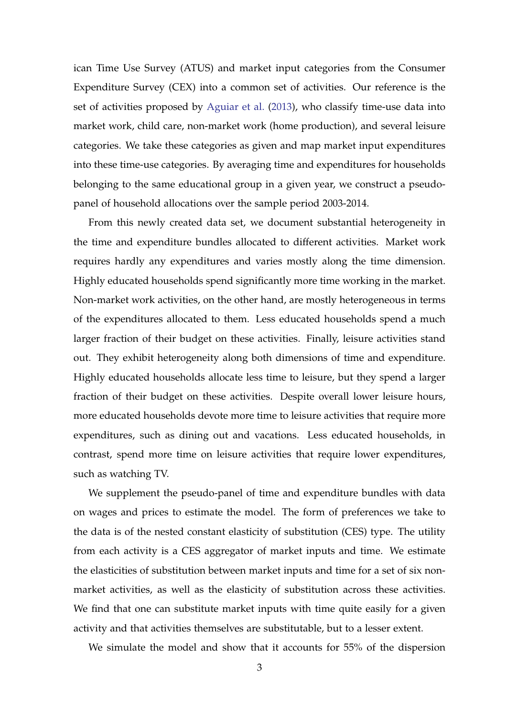ican Time Use Survey (ATUS) and market input categories from the Consumer Expenditure Survey (CEX) into a common set of activities. Our reference is the set of activities proposed by [Aguiar et al.](#page-28-1) [\(2013\)](#page-28-1), who classify time-use data into market work, child care, non-market work (home production), and several leisure categories. We take these categories as given and map market input expenditures into these time-use categories. By averaging time and expenditures for households belonging to the same educational group in a given year, we construct a pseudopanel of household allocations over the sample period 2003-2014.

From this newly created data set, we document substantial heterogeneity in the time and expenditure bundles allocated to different activities. Market work requires hardly any expenditures and varies mostly along the time dimension. Highly educated households spend significantly more time working in the market. Non-market work activities, on the other hand, are mostly heterogeneous in terms of the expenditures allocated to them. Less educated households spend a much larger fraction of their budget on these activities. Finally, leisure activities stand out. They exhibit heterogeneity along both dimensions of time and expenditure. Highly educated households allocate less time to leisure, but they spend a larger fraction of their budget on these activities. Despite overall lower leisure hours, more educated households devote more time to leisure activities that require more expenditures, such as dining out and vacations. Less educated households, in contrast, spend more time on leisure activities that require lower expenditures, such as watching TV.

We supplement the pseudo-panel of time and expenditure bundles with data on wages and prices to estimate the model. The form of preferences we take to the data is of the nested constant elasticity of substitution (CES) type. The utility from each activity is a CES aggregator of market inputs and time. We estimate the elasticities of substitution between market inputs and time for a set of six nonmarket activities, as well as the elasticity of substitution across these activities. We find that one can substitute market inputs with time quite easily for a given activity and that activities themselves are substitutable, but to a lesser extent.

We simulate the model and show that it accounts for 55% of the dispersion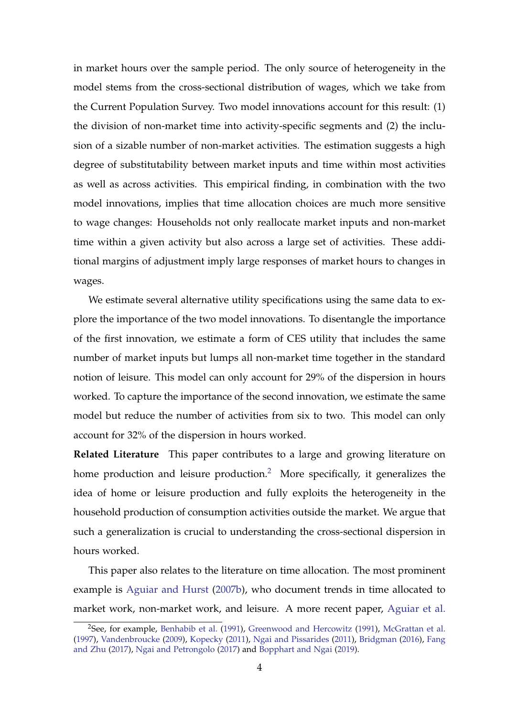in market hours over the sample period. The only source of heterogeneity in the model stems from the cross-sectional distribution of wages, which we take from the Current Population Survey. Two model innovations account for this result: (1) the division of non-market time into activity-specific segments and (2) the inclusion of a sizable number of non-market activities. The estimation suggests a high degree of substitutability between market inputs and time within most activities as well as across activities. This empirical finding, in combination with the two model innovations, implies that time allocation choices are much more sensitive to wage changes: Households not only reallocate market inputs and non-market time within a given activity but also across a large set of activities. These additional margins of adjustment imply large responses of market hours to changes in wages.

We estimate several alternative utility specifications using the same data to explore the importance of the two model innovations. To disentangle the importance of the first innovation, we estimate a form of CES utility that includes the same number of market inputs but lumps all non-market time together in the standard notion of leisure. This model can only account for 29% of the dispersion in hours worked. To capture the importance of the second innovation, we estimate the same model but reduce the number of activities from six to two. This model can only account for 32% of the dispersion in hours worked.

**Related Literature** This paper contributes to a large and growing literature on home production and leisure production.<sup>[2](#page-3-0)</sup> More specifically, it generalizes the idea of home or leisure production and fully exploits the heterogeneity in the household production of consumption activities outside the market. We argue that such a generalization is crucial to understanding the cross-sectional dispersion in hours worked.

This paper also relates to the literature on time allocation. The most prominent example is [Aguiar and Hurst](#page-28-2) [\(2007b\)](#page-28-2), who document trends in time allocated to market work, non-market work, and leisure. A more recent paper, [Aguiar et al.](#page-28-3)

<span id="page-3-0"></span><sup>2</sup>See, for example, [Benhabib et al.](#page-28-4) [\(1991\)](#page-28-4), [Greenwood and Hercowitz](#page-29-2) [\(1991\)](#page-29-2), [McGrattan et al.](#page-29-3) [\(1997\)](#page-29-3), [Vandenbroucke](#page-30-0) [\(2009\)](#page-30-0), [Kopecky](#page-29-4) [\(2011\)](#page-29-4), [Ngai and Pissarides](#page-29-5) [\(2011\)](#page-29-5), [Bridgman](#page-28-5) [\(2016\)](#page-28-5), [Fang](#page-29-6) [and Zhu](#page-29-6) [\(2017\)](#page-29-6), [Ngai and Petrongolo](#page-29-7) [\(2017\)](#page-29-7) and [Bopphart and Ngai](#page-28-6) [\(2019\)](#page-28-6).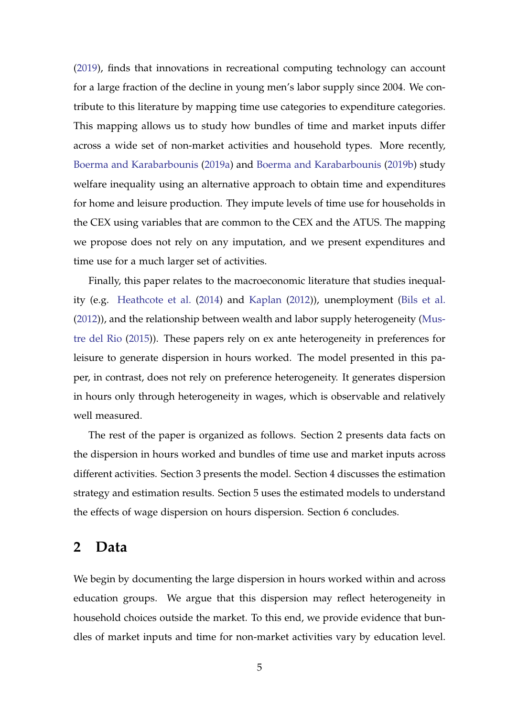[\(2019\)](#page-28-3), finds that innovations in recreational computing technology can account for a large fraction of the decline in young men's labor supply since 2004. We contribute to this literature by mapping time use categories to expenditure categories. This mapping allows us to study how bundles of time and market inputs differ across a wide set of non-market activities and household types. More recently, [Boerma and Karabarbounis](#page-28-7) [\(2019a\)](#page-28-7) and [Boerma and Karabarbounis](#page-28-8) [\(2019b\)](#page-28-8) study welfare inequality using an alternative approach to obtain time and expenditures for home and leisure production. They impute levels of time use for households in the CEX using variables that are common to the CEX and the ATUS. The mapping we propose does not rely on any imputation, and we present expenditures and time use for a much larger set of activities.

Finally, this paper relates to the macroeconomic literature that studies inequality (e.g. [Heathcote et al.](#page-29-1) [\(2014\)](#page-29-1) and [Kaplan](#page-29-0) [\(2012\)](#page-29-0)), unemployment [\(Bils et al.](#page-28-9) [\(2012\)](#page-28-9)), and the relationship between wealth and labor supply heterogeneity [\(Mus](#page-29-8)[tre del Rio](#page-29-8) [\(2015\)](#page-29-8)). These papers rely on ex ante heterogeneity in preferences for leisure to generate dispersion in hours worked. The model presented in this paper, in contrast, does not rely on preference heterogeneity. It generates dispersion in hours only through heterogeneity in wages, which is observable and relatively well measured.

The rest of the paper is organized as follows. Section 2 presents data facts on the dispersion in hours worked and bundles of time use and market inputs across different activities. Section 3 presents the model. Section 4 discusses the estimation strategy and estimation results. Section 5 uses the estimated models to understand the effects of wage dispersion on hours dispersion. Section 6 concludes.

## <span id="page-4-0"></span>**2 Data**

We begin by documenting the large dispersion in hours worked within and across education groups. We argue that this dispersion may reflect heterogeneity in household choices outside the market. To this end, we provide evidence that bundles of market inputs and time for non-market activities vary by education level.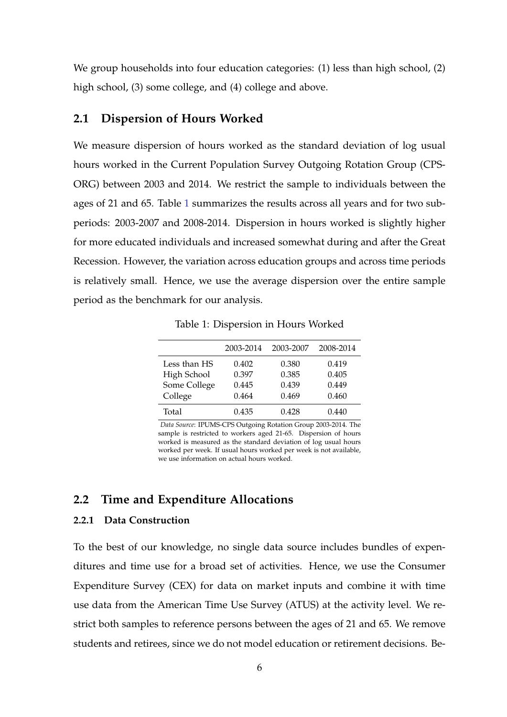We group households into four education categories: (1) less than high school, (2) high school, (3) some college, and (4) college and above.

### **2.1 Dispersion of Hours Worked**

We measure dispersion of hours worked as the standard deviation of log usual hours worked in the Current Population Survey Outgoing Rotation Group (CPS-ORG) between 2003 and 2014. We restrict the sample to individuals between the ages of 21 and 65. Table [1](#page-5-0) summarizes the results across all years and for two subperiods: 2003-2007 and 2008-2014. Dispersion in hours worked is slightly higher for more educated individuals and increased somewhat during and after the Great Recession. However, the variation across education groups and across time periods is relatively small. Hence, we use the average dispersion over the entire sample period as the benchmark for our analysis.

<span id="page-5-0"></span>

|              | 2003-2014 | 2003-2007 | 2008-2014 |
|--------------|-----------|-----------|-----------|
| Less than HS | 0.402     | 0.380     | 0.419     |
| High School  | 0.397     | 0.385     | 0.405     |
| Some College | 0.445     | 0.439     | 0.449     |
| College      | 0.464     | 0.469     | 0.460     |
| Total        | 0.435     | 0.428     | 0.440     |

Table 1: Dispersion in Hours Worked

*Data Source*: IPUMS-CPS Outgoing Rotation Group 2003-2014. The sample is restricted to workers aged 21-65. Dispersion of hours worked is measured as the standard deviation of log usual hours worked per week. If usual hours worked per week is not available, we use information on actual hours worked.

## **2.2 Time and Expenditure Allocations**

### **2.2.1 Data Construction**

To the best of our knowledge, no single data source includes bundles of expenditures and time use for a broad set of activities. Hence, we use the Consumer Expenditure Survey (CEX) for data on market inputs and combine it with time use data from the American Time Use Survey (ATUS) at the activity level. We restrict both samples to reference persons between the ages of 21 and 65. We remove students and retirees, since we do not model education or retirement decisions. Be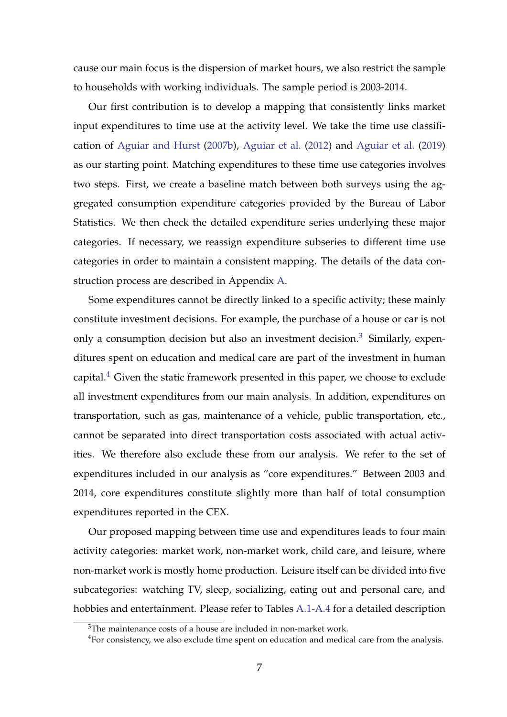cause our main focus is the dispersion of market hours, we also restrict the sample to households with working individuals. The sample period is 2003-2014.

Our first contribution is to develop a mapping that consistently links market input expenditures to time use at the activity level. We take the time use classification of [Aguiar and Hurst](#page-28-2) [\(2007b\)](#page-28-2), [Aguiar et al.](#page-28-10) [\(2012\)](#page-28-10) and [Aguiar et al.](#page-28-3) [\(2019\)](#page-28-3) as our starting point. Matching expenditures to these time use categories involves two steps. First, we create a baseline match between both surveys using the aggregated consumption expenditure categories provided by the Bureau of Labor Statistics. We then check the detailed expenditure series underlying these major categories. If necessary, we reassign expenditure subseries to different time use categories in order to maintain a consistent mapping. The details of the data construction process are described in Appendix [A.](#page-31-0)

Some expenditures cannot be directly linked to a specific activity; these mainly constitute investment decisions. For example, the purchase of a house or car is not only a consumption decision but also an investment decision.<sup>[3](#page-6-0)</sup> Similarly, expenditures spent on education and medical care are part of the investment in human capital. $4$  Given the static framework presented in this paper, we choose to exclude all investment expenditures from our main analysis. In addition, expenditures on transportation, such as gas, maintenance of a vehicle, public transportation, etc., cannot be separated into direct transportation costs associated with actual activities. We therefore also exclude these from our analysis. We refer to the set of expenditures included in our analysis as "core expenditures." Between 2003 and 2014, core expenditures constitute slightly more than half of total consumption expenditures reported in the CEX.

Our proposed mapping between time use and expenditures leads to four main activity categories: market work, non-market work, child care, and leisure, where non-market work is mostly home production. Leisure itself can be divided into five subcategories: watching TV, sleep, socializing, eating out and personal care, and hobbies and entertainment. Please refer to Tables [A.1-](#page-31-1)[A.4](#page-36-0) for a detailed description

<span id="page-6-0"></span><sup>3</sup>The maintenance costs of a house are included in non-market work.

<span id="page-6-1"></span><sup>&</sup>lt;sup>4</sup>For consistency, we also exclude time spent on education and medical care from the analysis.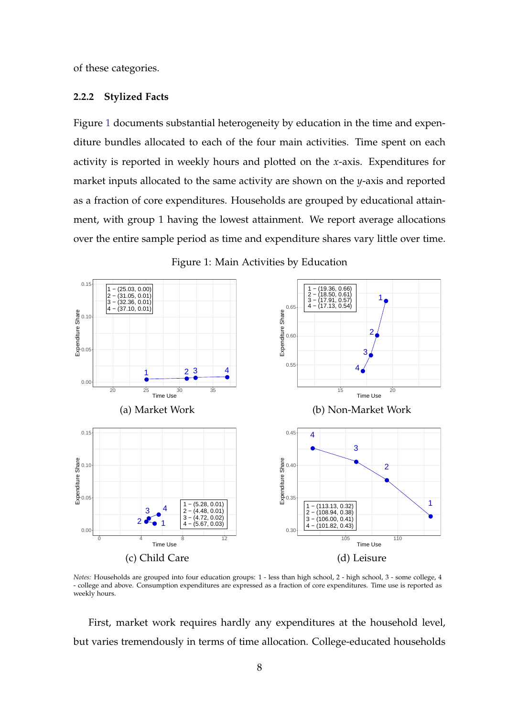of these categories.

#### **2.2.2 Stylized Facts**

Figure [1](#page-7-0) documents substantial heterogeneity by education in the time and expenditure bundles allocated to each of the four main activities. Time spent on each activity is reported in weekly hours and plotted on the *x*-axis. Expenditures for market inputs allocated to the same activity are shown on the *y*-axis and reported as a fraction of core expenditures. Households are grouped by educational attainment, with group 1 having the lowest attainment. We report average allocations over the entire sample period as time and expenditure shares vary little over time.

<span id="page-7-0"></span>

Figure 1: Main Activities by Education

*Notes:* Households are grouped into four education groups: 1 - less than high school, 2 - high school, 3 - some college, 4 - college and above. Consumption expenditures are expressed as a fraction of core expenditures. Time use is reported as weekly hours.

First, market work requires hardly any expenditures at the household level, but varies tremendously in terms of time allocation. College-educated households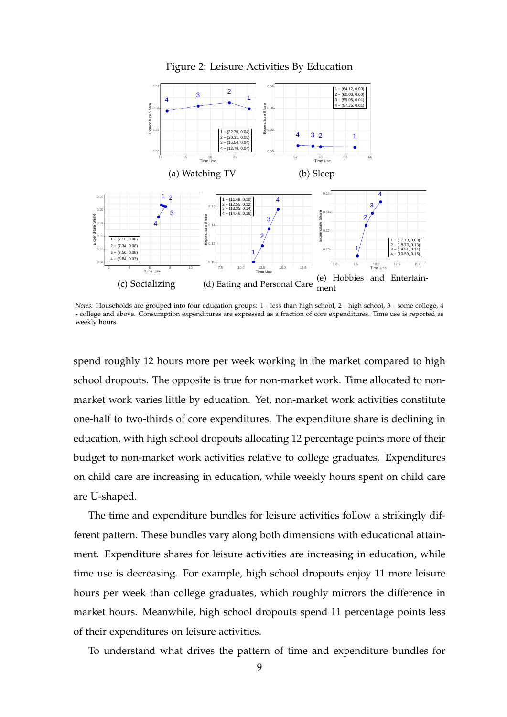

<span id="page-8-0"></span>

*Notes:* Households are grouped into four education groups: 1 - less than high school, 2 - high school, 3 - some college, 4 - college and above. Consumption expenditures are expressed as a fraction of core expenditures. Time use is reported as weekly hours.

spend roughly 12 hours more per week working in the market compared to high school dropouts. The opposite is true for non-market work. Time allocated to nonmarket work varies little by education. Yet, non-market work activities constitute one-half to two-thirds of core expenditures. The expenditure share is declining in education, with high school dropouts allocating 12 percentage points more of their budget to non-market work activities relative to college graduates. Expenditures on child care are increasing in education, while weekly hours spent on child care are U-shaped.

The time and expenditure bundles for leisure activities follow a strikingly different pattern. These bundles vary along both dimensions with educational attainment. Expenditure shares for leisure activities are increasing in education, while time use is decreasing. For example, high school dropouts enjoy 11 more leisure hours per week than college graduates, which roughly mirrors the difference in market hours. Meanwhile, high school dropouts spend 11 percentage points less of their expenditures on leisure activities.

To understand what drives the pattern of time and expenditure bundles for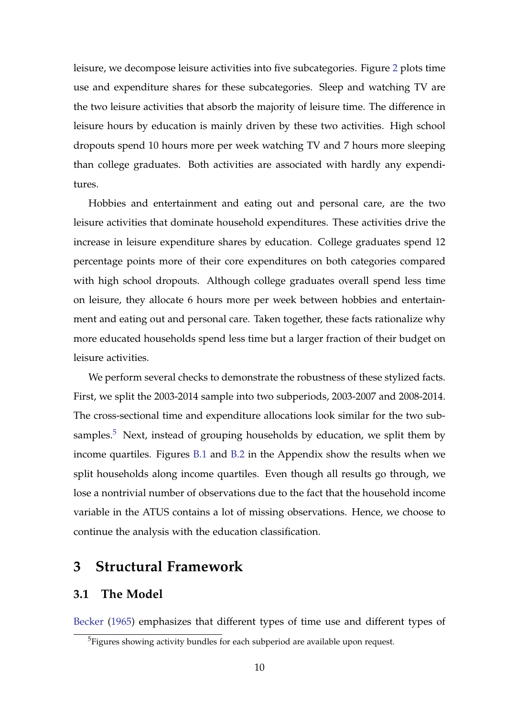leisure, we decompose leisure activities into five subcategories. Figure [2](#page-8-0) plots time use and expenditure shares for these subcategories. Sleep and watching TV are the two leisure activities that absorb the majority of leisure time. The difference in leisure hours by education is mainly driven by these two activities. High school dropouts spend 10 hours more per week watching TV and 7 hours more sleeping than college graduates. Both activities are associated with hardly any expenditures.

Hobbies and entertainment and eating out and personal care, are the two leisure activities that dominate household expenditures. These activities drive the increase in leisure expenditure shares by education. College graduates spend 12 percentage points more of their core expenditures on both categories compared with high school dropouts. Although college graduates overall spend less time on leisure, they allocate 6 hours more per week between hobbies and entertainment and eating out and personal care. Taken together, these facts rationalize why more educated households spend less time but a larger fraction of their budget on leisure activities.

We perform several checks to demonstrate the robustness of these stylized facts. First, we split the 2003-2014 sample into two subperiods, 2003-2007 and 2008-2014. The cross-sectional time and expenditure allocations look similar for the two subsamples. $5$  Next, instead of grouping households by education, we split them by income quartiles. Figures [B.1](#page-40-0) and [B.2](#page-41-0) in the Appendix show the results when we split households along income quartiles. Even though all results go through, we lose a nontrivial number of observations due to the fact that the household income variable in the ATUS contains a lot of missing observations. Hence, we choose to continue the analysis with the education classification.

## <span id="page-9-2"></span>**3 Structural Framework**

## <span id="page-9-1"></span>**3.1 The Model**

[Becker](#page-28-0) [\(1965\)](#page-28-0) emphasizes that different types of time use and different types of

<span id="page-9-0"></span><sup>&</sup>lt;sup>5</sup>Figures showing activity bundles for each subperiod are available upon request.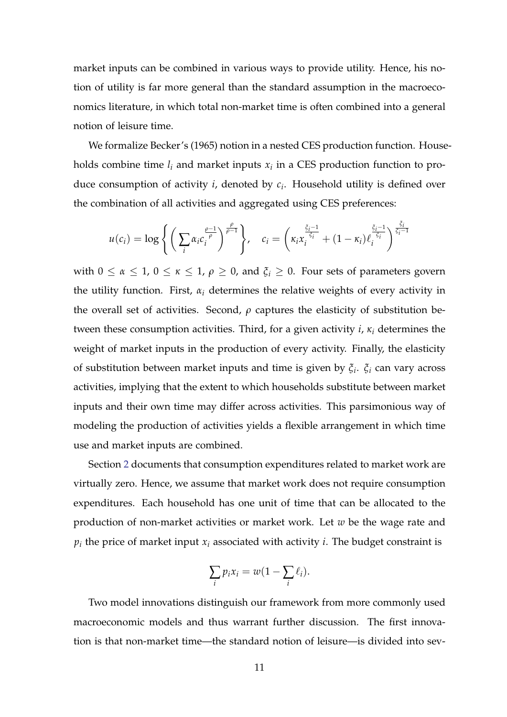market inputs can be combined in various ways to provide utility. Hence, his notion of utility is far more general than the standard assumption in the macroeconomics literature, in which total non-market time is often combined into a general notion of leisure time.

We formalize Becker's (1965) notion in a nested CES production function. Households combine time  $l_i$  and market inputs  $x_i$  in a CES production function to produce consumption of activity *i*, denoted by *c<sup>i</sup>* . Household utility is defined over the combination of all activities and aggregated using CES preferences:

$$
u(c_i) = \log \left\{ \left( \sum_i \alpha_i c_i^{\frac{\rho-1}{\rho}} \right)^{\frac{\rho}{\rho-1}} \right\}, \quad c_i = \left( \kappa_i x_i^{\frac{\tilde{\zeta}_i - 1}{\tilde{\zeta}_i}} + (1 - \kappa_i) \ell_i^{\frac{\tilde{\zeta}_i - 1}{\tilde{\zeta}_i}} \right)^{\frac{\tilde{\zeta}_i}{\tilde{\zeta}_i - 1}}
$$

with  $0 \le \alpha \le 1$ ,  $0 \le \kappa \le 1$ ,  $\rho \ge 0$ , and  $\xi_i \ge 0$ . Four sets of parameters govern the utility function. First,  $\alpha_i$  determines the relative weights of every activity in the overall set of activities. Second,  $\rho$  captures the elasticity of substitution between these consumption activities. Third, for a given activity *i*, *κ<sup>i</sup>* determines the weight of market inputs in the production of every activity. Finally, the elasticity of substitution between market inputs and time is given by *ξ<sup>i</sup>* . *ξ<sup>i</sup>* can vary across activities, implying that the extent to which households substitute between market inputs and their own time may differ across activities. This parsimonious way of modeling the production of activities yields a flexible arrangement in which time use and market inputs are combined.

Section [2](#page-4-0) documents that consumption expenditures related to market work are virtually zero. Hence, we assume that market work does not require consumption expenditures. Each household has one unit of time that can be allocated to the production of non-market activities or market work. Let *w* be the wage rate and  $p_i$  the price of market input  $x_i$  associated with activity  $i$ . The budget constraint is

$$
\sum_i p_i x_i = w(1 - \sum_i \ell_i).
$$

Two model innovations distinguish our framework from more commonly used macroeconomic models and thus warrant further discussion. The first innovation is that non-market time—the standard notion of leisure—is divided into sev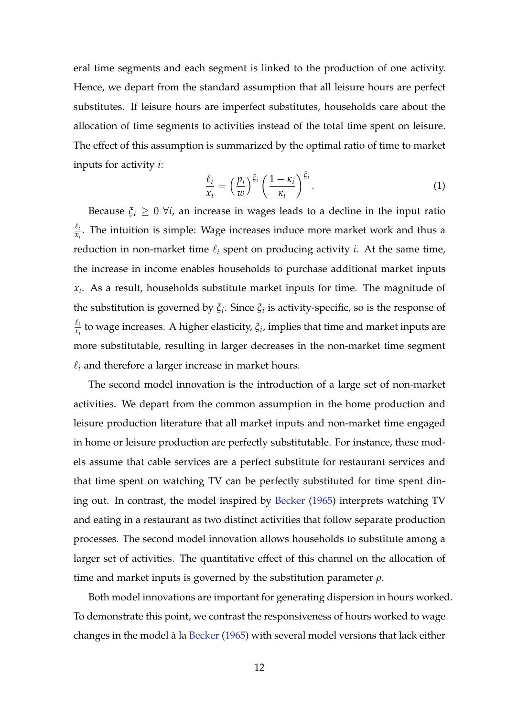eral time segments and each segment is linked to the production of one activity. Hence, we depart from the standard assumption that all leisure hours are perfect substitutes. If leisure hours are imperfect substitutes, households care about the allocation of time segments to activities instead of the total time spent on leisure. The effect of this assumption is summarized by the optimal ratio of time to market inputs for activity *i*:

<span id="page-11-0"></span>
$$
\frac{\ell_i}{x_i} = \left(\frac{p_i}{w}\right)^{\xi_i} \left(\frac{1-\kappa_i}{\kappa_i}\right)^{\xi_i}.
$$
\n(1)

Because  $\xi_i \geq 0$   $\forall i$ , an increase in wages leads to a decline in the input ratio  $\ell_i$  $\frac{c_i}{x_i}$ . The intuition is simple: Wage increases induce more market work and thus a reduction in non-market time  $\ell_i$  spent on producing activity *i*. At the same time, the increase in income enables households to purchase additional market inputs *xi* . As a result, households substitute market inputs for time. The magnitude of the substitution is governed by *ξ<sup>i</sup>* . Since *ξ<sup>i</sup>* is activity-specific, so is the response of  $\ell_i$  $\frac{\epsilon_i}{x_i}$  to wage increases. A higher elasticity,  $\xi_i$ , implies that time and market inputs are more substitutable, resulting in larger decreases in the non-market time segment  $\ell_i$  and therefore a larger increase in market hours.

The second model innovation is the introduction of a large set of non-market activities. We depart from the common assumption in the home production and leisure production literature that all market inputs and non-market time engaged in home or leisure production are perfectly substitutable. For instance, these models assume that cable services are a perfect substitute for restaurant services and that time spent on watching TV can be perfectly substituted for time spent dining out. In contrast, the model inspired by [Becker](#page-28-0) [\(1965\)](#page-28-0) interprets watching TV and eating in a restaurant as two distinct activities that follow separate production processes. The second model innovation allows households to substitute among a larger set of activities. The quantitative effect of this channel on the allocation of time and market inputs is governed by the substitution parameter *ρ*.

Both model innovations are important for generating dispersion in hours worked. To demonstrate this point, we contrast the responsiveness of hours worked to wage changes in the model à la [Becker](#page-28-0) [\(1965\)](#page-28-0) with several model versions that lack either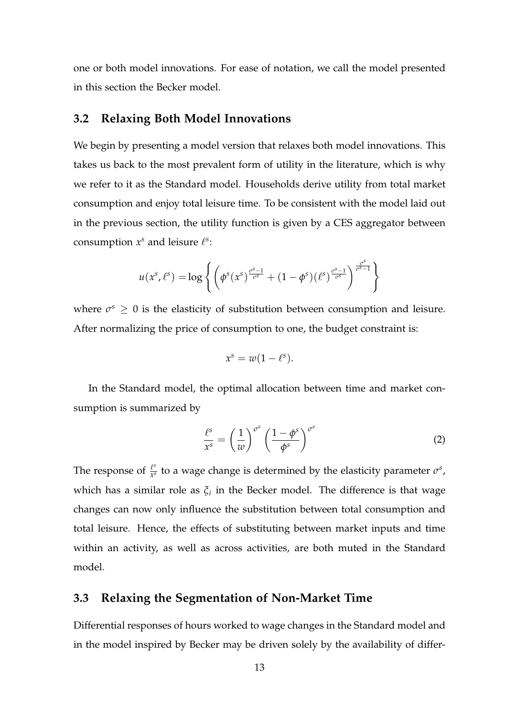one or both model innovations. For ease of notation, we call the model presented in this section the Becker model.

### <span id="page-12-0"></span>**3.2 Relaxing Both Model Innovations**

We begin by presenting a model version that relaxes both model innovations. This takes us back to the most prevalent form of utility in the literature, which is why we refer to it as the Standard model. Households derive utility from total market consumption and enjoy total leisure time. To be consistent with the model laid out in the previous section, the utility function is given by a CES aggregator between consumption  $x^s$  and leisure  $\ell^s$ :

$$
u(x^s, \ell^s) = \log \left\{ \left( \phi^s(x^s)^{\frac{\sigma^s-1}{\sigma^s}} + (1-\phi^s)(\ell^s)^{\frac{\sigma^s-1}{\sigma^s}} \right)^{\frac{\sigma^s}{\sigma^s-1}} \right\}
$$

where  $\sigma^s \geq 0$  is the elasticity of substitution between consumption and leisure. After normalizing the price of consumption to one, the budget constraint is:

$$
x^s = w(1 - \ell^s).
$$

In the Standard model, the optimal allocation between time and market consumption is summarized by

$$
\frac{\ell^s}{x^s} = \left(\frac{1}{w}\right)^{\sigma^s} \left(\frac{1-\phi^s}{\phi^s}\right)^{\sigma^s} \tag{2}
$$

The response of  $\frac{l^{s}}{r^{s}}$  $\frac{\ell^s}{x^s}$  to a wage change is determined by the elasticity parameter  $\sigma^s$ , which has a similar role as *ξ<sup>i</sup>* in the Becker model. The difference is that wage changes can now only influence the substitution between total consumption and total leisure. Hence, the effects of substituting between market inputs and time within an activity, as well as across activities, are both muted in the Standard model.

## <span id="page-12-1"></span>**3.3 Relaxing the Segmentation of Non-Market Time**

Differential responses of hours worked to wage changes in the Standard model and in the model inspired by Becker may be driven solely by the availability of differ-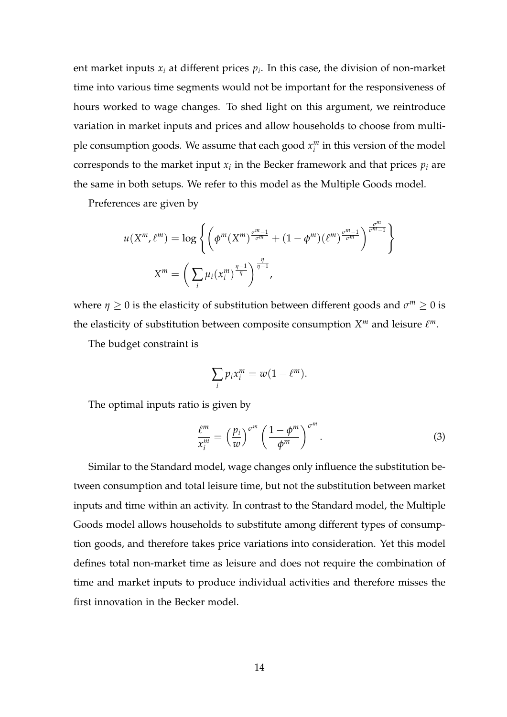ent market inputs *x<sup>i</sup>* at different prices *p<sup>i</sup>* . In this case, the division of non-market time into various time segments would not be important for the responsiveness of hours worked to wage changes. To shed light on this argument, we reintroduce variation in market inputs and prices and allow households to choose from multiple consumption goods. We assume that each good *x m*  $\binom{m}{i}$  in this version of the model corresponds to the market input  $x_i$  in the Becker framework and that prices  $p_i$  are the same in both setups. We refer to this model as the Multiple Goods model.

Preferences are given by

$$
u(X^m, \ell^m) = \log \left\{ \left( \phi^m(X^m)^{\frac{\sigma^m - 1}{\sigma^m}} + (1 - \phi^m)(\ell^m)^{\frac{\sigma^m - 1}{\sigma^m}} \right)^{\frac{\sigma^m}{\sigma^m - 1}} \right\}
$$

$$
X^m = \left( \sum_i \mu_i(x_i^m)^{\frac{\eta - 1}{\eta}} \right)^{\frac{\eta}{\eta - 1}},
$$

where  $\eta \geq 0$  is the elasticity of substitution between different goods and  $\sigma^m \geq 0$  is the elasticity of substitution between composite consumption  $X^m$  and leisure  $\ell^m$ .

The budget constraint is

$$
\sum_i p_i x_i^m = w(1 - \ell^m).
$$

The optimal inputs ratio is given by

$$
\frac{\ell^m}{x_i^m} = \left(\frac{p_i}{w}\right)^{\sigma^m} \left(\frac{1-\phi^m}{\phi^m}\right)^{\sigma^m}.
$$
\n(3)

Similar to the Standard model, wage changes only influence the substitution between consumption and total leisure time, but not the substitution between market inputs and time within an activity. In contrast to the Standard model, the Multiple Goods model allows households to substitute among different types of consumption goods, and therefore takes price variations into consideration. Yet this model defines total non-market time as leisure and does not require the combination of time and market inputs to produce individual activities and therefore misses the first innovation in the Becker model.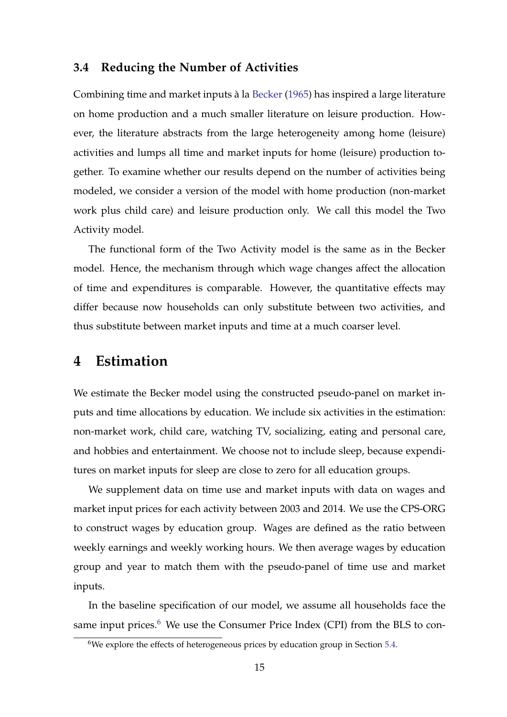### <span id="page-14-1"></span>**3.4 Reducing the Number of Activities**

Combining time and market inputs à la [Becker](#page-28-0) [\(1965\)](#page-28-0) has inspired a large literature on home production and a much smaller literature on leisure production. However, the literature abstracts from the large heterogeneity among home (leisure) activities and lumps all time and market inputs for home (leisure) production together. To examine whether our results depend on the number of activities being modeled, we consider a version of the model with home production (non-market work plus child care) and leisure production only. We call this model the Two Activity model.

The functional form of the Two Activity model is the same as in the Becker model. Hence, the mechanism through which wage changes affect the allocation of time and expenditures is comparable. However, the quantitative effects may differ because now households can only substitute between two activities, and thus substitute between market inputs and time at a much coarser level.

## **4 Estimation**

We estimate the Becker model using the constructed pseudo-panel on market inputs and time allocations by education. We include six activities in the estimation: non-market work, child care, watching TV, socializing, eating and personal care, and hobbies and entertainment. We choose not to include sleep, because expenditures on market inputs for sleep are close to zero for all education groups.

We supplement data on time use and market inputs with data on wages and market input prices for each activity between 2003 and 2014. We use the CPS-ORG to construct wages by education group. Wages are defined as the ratio between weekly earnings and weekly working hours. We then average wages by education group and year to match them with the pseudo-panel of time use and market inputs.

In the baseline specification of our model, we assume all households face the same input prices.<sup>[6](#page-14-0)</sup> We use the Consumer Price Index (CPI) from the BLS to con-

<span id="page-14-0"></span> $6$ We explore the effects of heterogeneous prices by education group in Section [5.4.](#page-25-0)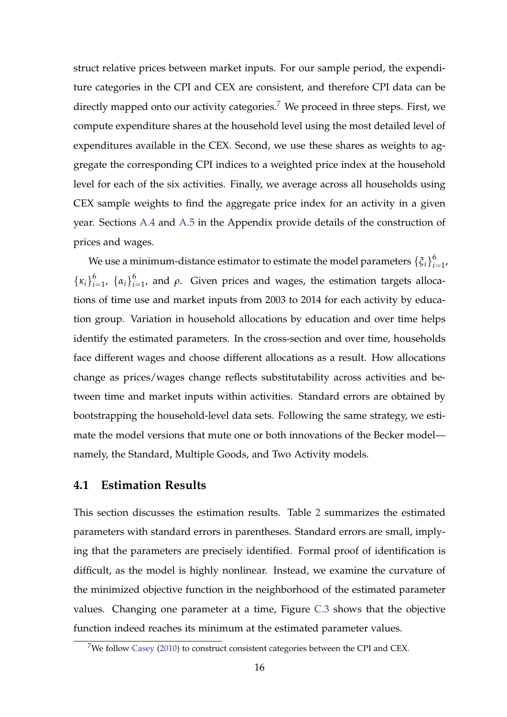struct relative prices between market inputs. For our sample period, the expenditure categories in the CPI and CEX are consistent, and therefore CPI data can be directly mapped onto our activity categories.<sup>[7](#page-15-0)</sup> We proceed in three steps. First, we compute expenditure shares at the household level using the most detailed level of expenditures available in the CEX. Second, we use these shares as weights to aggregate the corresponding CPI indices to a weighted price index at the household level for each of the six activities. Finally, we average across all households using CEX sample weights to find the aggregate price index for an activity in a given year. Sections [A.4](#page-39-0) and [A.5](#page-39-1) in the Appendix provide details of the construction of prices and wages.

We use a minimum-distance estimator to estimate the model parameters  $\{\xi_i\}_{i}^6$  $\frac{6}{i=1}$  $\{\kappa_i\}_{i=1}^6$  $_{i=1}^{6}$ , {α<sub>*i*</sub>}<sub>*i*:</sub>  $\int_{i=1}^{6}$ , and *ρ*. Given prices and wages, the estimation targets allocations of time use and market inputs from 2003 to 2014 for each activity by education group. Variation in household allocations by education and over time helps identify the estimated parameters. In the cross-section and over time, households face different wages and choose different allocations as a result. How allocations change as prices/wages change reflects substitutability across activities and between time and market inputs within activities. Standard errors are obtained by bootstrapping the household-level data sets. Following the same strategy, we estimate the model versions that mute one or both innovations of the Becker model namely, the Standard, Multiple Goods, and Two Activity models.

## **4.1 Estimation Results**

This section discusses the estimation results. Table [2](#page-18-0) summarizes the estimated parameters with standard errors in parentheses. Standard errors are small, implying that the parameters are precisely identified. Formal proof of identification is difficult, as the model is highly nonlinear. Instead, we examine the curvature of the minimized objective function in the neighborhood of the estimated parameter values. Changing one parameter at a time, Figure [C.3](#page-42-0) shows that the objective function indeed reaches its minimum at the estimated parameter values.

<span id="page-15-0"></span><sup>&</sup>lt;sup>7</sup>We follow [Casey](#page-29-9) [\(2010\)](#page-29-9) to construct consistent categories between the CPI and CEX.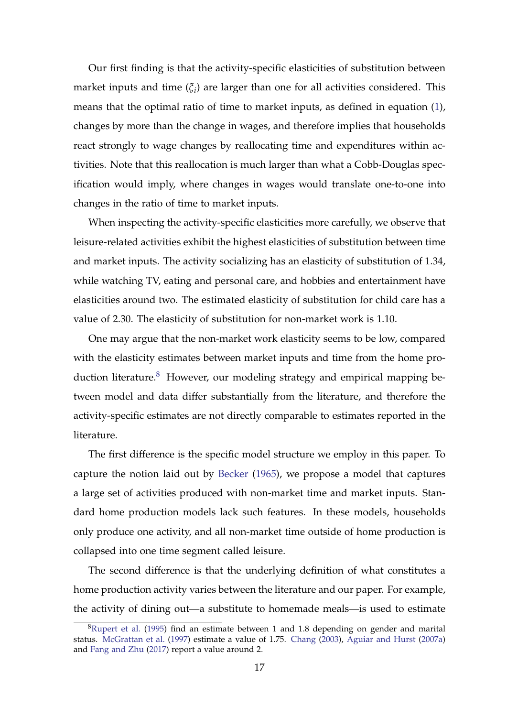Our first finding is that the activity-specific elasticities of substitution between market inputs and time (*ξ<sup>i</sup>* ) are larger than one for all activities considered. This means that the optimal ratio of time to market inputs, as defined in equation [\(1\)](#page-11-0), changes by more than the change in wages, and therefore implies that households react strongly to wage changes by reallocating time and expenditures within activities. Note that this reallocation is much larger than what a Cobb-Douglas specification would imply, where changes in wages would translate one-to-one into changes in the ratio of time to market inputs.

When inspecting the activity-specific elasticities more carefully, we observe that leisure-related activities exhibit the highest elasticities of substitution between time and market inputs. The activity socializing has an elasticity of substitution of 1.34, while watching TV, eating and personal care, and hobbies and entertainment have elasticities around two. The estimated elasticity of substitution for child care has a value of 2.30. The elasticity of substitution for non-market work is 1.10.

One may argue that the non-market work elasticity seems to be low, compared with the elasticity estimates between market inputs and time from the home pro-duction literature.<sup>[8](#page-16-0)</sup> However, our modeling strategy and empirical mapping between model and data differ substantially from the literature, and therefore the activity-specific estimates are not directly comparable to estimates reported in the literature.

The first difference is the specific model structure we employ in this paper. To capture the notion laid out by [Becker](#page-28-0) [\(1965\)](#page-28-0), we propose a model that captures a large set of activities produced with non-market time and market inputs. Standard home production models lack such features. In these models, households only produce one activity, and all non-market time outside of home production is collapsed into one time segment called leisure.

The second difference is that the underlying definition of what constitutes a home production activity varies between the literature and our paper. For example, the activity of dining out—a substitute to homemade meals—is used to estimate

<span id="page-16-0"></span> ${}^{8}$ [Rupert et al.](#page-30-1) [\(1995\)](#page-30-1) find an estimate between 1 and 1.8 depending on gender and marital status. [McGrattan et al.](#page-29-3) [\(1997\)](#page-29-3) estimate a value of 1.75. [Chang](#page-29-10) [\(2003\)](#page-29-10), [Aguiar and Hurst](#page-28-11) [\(2007a\)](#page-28-11) and [Fang and Zhu](#page-29-6) [\(2017\)](#page-29-6) report a value around 2.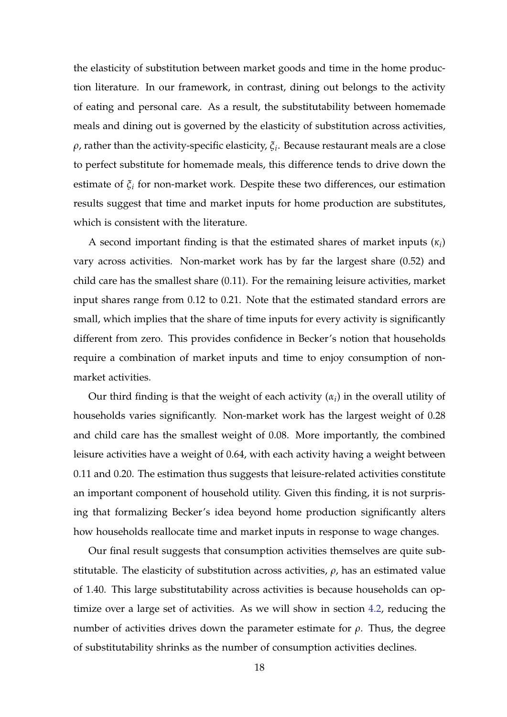the elasticity of substitution between market goods and time in the home production literature. In our framework, in contrast, dining out belongs to the activity of eating and personal care. As a result, the substitutability between homemade meals and dining out is governed by the elasticity of substitution across activities, *ρ*, rather than the activity-specific elasticity, *ξ<sup>i</sup>* . Because restaurant meals are a close to perfect substitute for homemade meals, this difference tends to drive down the estimate of *ξ<sup>i</sup>* for non-market work. Despite these two differences, our estimation results suggest that time and market inputs for home production are substitutes, which is consistent with the literature.

A second important finding is that the estimated shares of market inputs  $(\kappa_i)$ vary across activities. Non-market work has by far the largest share (0.52) and child care has the smallest share (0.11). For the remaining leisure activities, market input shares range from 0.12 to 0.21. Note that the estimated standard errors are small, which implies that the share of time inputs for every activity is significantly different from zero. This provides confidence in Becker's notion that households require a combination of market inputs and time to enjoy consumption of nonmarket activities.

Our third finding is that the weight of each activity  $(\alpha_i)$  in the overall utility of households varies significantly. Non-market work has the largest weight of 0.28 and child care has the smallest weight of 0.08. More importantly, the combined leisure activities have a weight of 0.64, with each activity having a weight between 0.11 and 0.20. The estimation thus suggests that leisure-related activities constitute an important component of household utility. Given this finding, it is not surprising that formalizing Becker's idea beyond home production significantly alters how households reallocate time and market inputs in response to wage changes.

Our final result suggests that consumption activities themselves are quite substitutable. The elasticity of substitution across activities, *ρ*, has an estimated value of 1.40. This large substitutability across activities is because households can optimize over a large set of activities. As we will show in section [4.2,](#page-18-1) reducing the number of activities drives down the parameter estimate for  $ρ$ . Thus, the degree of substitutability shrinks as the number of consumption activities declines.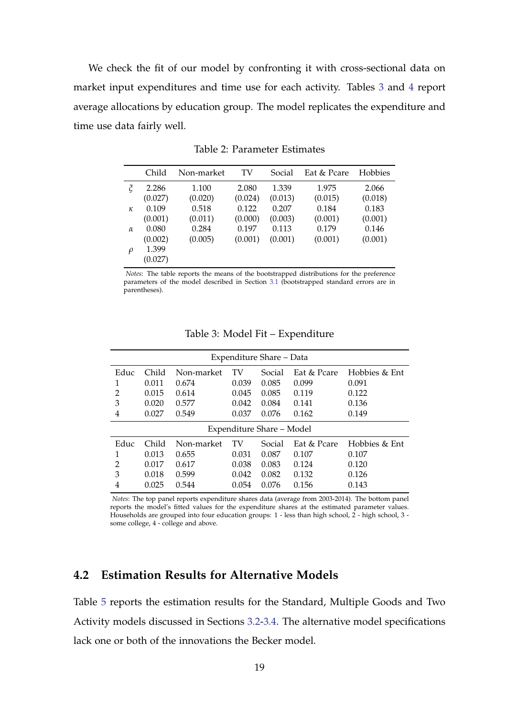We check the fit of our model by confronting it with cross-sectional data on market input expenditures and time use for each activity. Tables [3](#page-18-2) and [4](#page-19-0) report average allocations by education group. The model replicates the expenditure and time use data fairly well.

<span id="page-18-0"></span>

|          | Child   | Non-market | TV      | Social  | Eat & Pcare | <b>Hobbies</b> |
|----------|---------|------------|---------|---------|-------------|----------------|
| $\zeta$  | 2.286   | 1.100      | 2.080   | 1.339   | 1.975       | 2.066          |
|          | (0.027) | (0.020)    | (0.024) | (0.013) | (0.015)     | (0.018)        |
| $\kappa$ | 0.109   | 0.518      | 0.122   | 0.207   | 0.184       | 0.183          |
|          | (0.001) | (0.011)    | (0.000) | (0.003) | (0.001)     | (0.001)        |
| $\alpha$ | 0.080   | 0.284      | 0.197   | 0.113   | 0.179       | 0.146          |
|          | (0.002) | (0.005)    | (0.001) | (0.001) | (0.001)     | (0.001)        |
| $\rho$   | 1.399   |            |         |         |             |                |
|          | (0.027) |            |         |         |             |                |

Table 2: Parameter Estimates

*Notes*: The table reports the means of the bootstrapped distributions for the preference parameters of the model described in Section [3.1](#page-9-1) (bootstrapped standard errors are in parentheses).

<span id="page-18-2"></span>

| Expenditure Share – Data |                           |            |       |        |             |               |
|--------------------------|---------------------------|------------|-------|--------|-------------|---------------|
| Educ                     | Child                     | Non-market | TV    | Social | Eat & Pcare | Hobbies & Ent |
|                          | 0.011                     | 0.674      | 0.039 | 0.085  | 0.099       | 0.091         |
| 2                        | 0.015                     | 0.614      | 0.045 | 0.085  | 0.119       | 0.122         |
| 3                        | 0.020                     | 0.577      | 0.042 | 0.084  | 0.141       | 0.136         |
| 4                        | 0.027                     | 0.549      | 0.037 | 0.076  | 0.162       | 0.149         |
|                          | Expenditure Share - Model |            |       |        |             |               |
| Educ                     | Child                     | Non-market | TV    | Social | Eat & Pcare | Hobbies & Ent |
|                          | 0.013                     | 0.655      | 0.031 | 0.087  | 0.107       | 0.107         |
| $\overline{2}$           | 0.017                     | 0.617      | 0.038 | 0.083  | 0.124       | 0.120         |
| 3                        | 0.018                     | 0.599      | 0.042 | 0.082  | 0.132       | 0.126         |
| 4                        | 0.025                     | 0.544      | 0.054 | 0.076  | 0.156       | 0.143         |

Table 3: Model Fit – Expenditure

*Notes*: The top panel reports expenditure shares data (average from 2003-2014). The bottom panel reports the model's fitted values for the expenditure shares at the estimated parameter values. Households are grouped into four education groups: 1 - less than high school, 2 - high school, 3 some college, 4 - college and above.

## <span id="page-18-1"></span>**4.2 Estimation Results for Alternative Models**

Table [5](#page-20-0) reports the estimation results for the Standard, Multiple Goods and Two Activity models discussed in Sections [3.2-](#page-12-0)[3.4.](#page-14-1) The alternative model specifications lack one or both of the innovations the Becker model.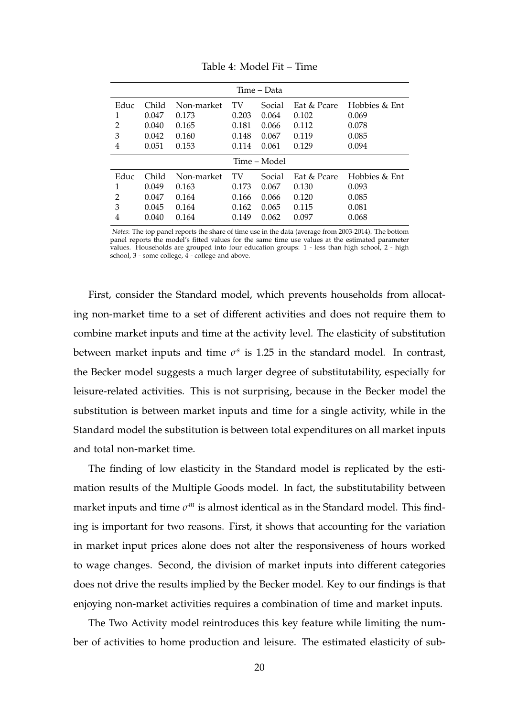<span id="page-19-0"></span>

| Time – Data    |              |            |       |        |             |               |
|----------------|--------------|------------|-------|--------|-------------|---------------|
| Educ           | Child        | Non-market | TV    | Social | Eat & Pcare | Hobbies & Ent |
|                | 0.047        | 0.173      | 0.203 | 0.064  | 0.102       | 0.069         |
| 2              | 0.040        | 0.165      | 0.181 | 0.066  | 0.112       | 0.078         |
| 3              | 0.042        | 0.160      | 0.148 | 0.067  | 0.119       | 0.085         |
| 4              | 0.051        | 0.153      | 0.114 | 0.061  | 0.129       | 0.094         |
|                | Time – Model |            |       |        |             |               |
| Educ           | Child        | Non-market | TV    | Social | Eat & Pcare | Hobbies & Ent |
|                | 0.049        | 0.163      | 0.173 | 0.067  | 0.130       | 0.093         |
| $\overline{2}$ | 0.047        | 0.164      | 0.166 | 0.066  | 0.120       | 0.085         |
| 3              | 0.045        | 0.164      | 0.162 | 0.065  | 0.115       | 0.081         |
| 4              | 0.040        | 0.164      | 0.149 | 0.062  | 0.097       | 0.068         |

Table 4: Model Fit – Time

*Notes*: The top panel reports the share of time use in the data (average from 2003-2014). The bottom panel reports the model's fitted values for the same time use values at the estimated parameter values. Households are grouped into four education groups: 1 - less than high school, 2 - high school,  $3$  - some college,  $4$  - college and above.

First, consider the Standard model, which prevents households from allocating non-market time to a set of different activities and does not require them to combine market inputs and time at the activity level. The elasticity of substitution between market inputs and time  $\sigma$ <sup>s</sup> is 1.25 in the standard model. In contrast, the Becker model suggests a much larger degree of substitutability, especially for leisure-related activities. This is not surprising, because in the Becker model the substitution is between market inputs and time for a single activity, while in the Standard model the substitution is between total expenditures on all market inputs and total non-market time.

The finding of low elasticity in the Standard model is replicated by the estimation results of the Multiple Goods model. In fact, the substitutability between market inputs and time  $\sigma^m$  is almost identical as in the Standard model. This finding is important for two reasons. First, it shows that accounting for the variation in market input prices alone does not alter the responsiveness of hours worked to wage changes. Second, the division of market inputs into different categories does not drive the results implied by the Becker model. Key to our findings is that enjoying non-market activities requires a combination of time and market inputs.

The Two Activity model reintroduces this key feature while limiting the number of activities to home production and leisure. The estimated elasticity of sub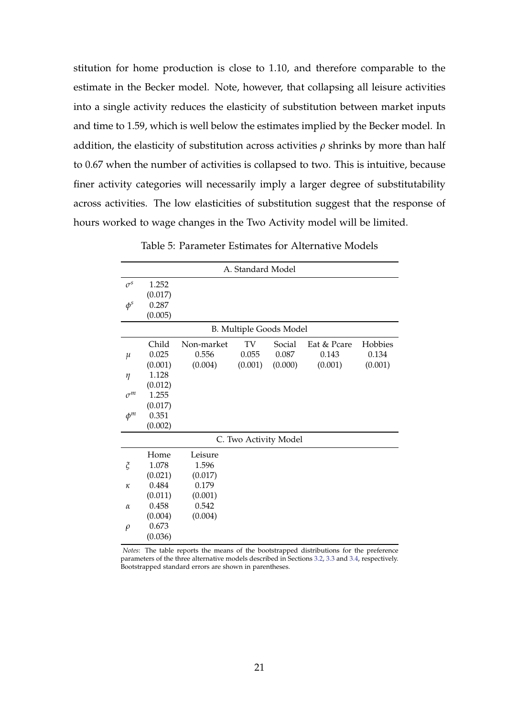stitution for home production is close to 1.10, and therefore comparable to the estimate in the Becker model. Note, however, that collapsing all leisure activities into a single activity reduces the elasticity of substitution between market inputs and time to 1.59, which is well below the estimates implied by the Becker model. In addition, the elasticity of substitution across activities *ρ* shrinks by more than half to 0.67 when the number of activities is collapsed to two. This is intuitive, because finer activity categories will necessarily imply a larger degree of substitutability across activities. The low elasticities of substitution suggest that the response of hours worked to wage changes in the Two Activity model will be limited.

<span id="page-20-0"></span>

|            | A. Standard Model |            |         |                                |             |         |
|------------|-------------------|------------|---------|--------------------------------|-------------|---------|
| $\sigma^s$ | 1.252             |            |         |                                |             |         |
|            | (0.017)           |            |         |                                |             |         |
| $\phi^s$   | 0.287             |            |         |                                |             |         |
|            | (0.005)           |            |         |                                |             |         |
|            |                   |            |         | <b>B. Multiple Goods Model</b> |             |         |
|            | Child             | Non-market | TV      | Social                         | Eat & Pcare | Hobbies |
| $\mu$      | 0.025             | 0.556      | 0.055   | 0.087                          | 0.143       | 0.134   |
|            | (0.001)           | (0.004)    | (0.001) | (0.000)                        | (0.001)     | (0.001) |
| $\eta$     | 1.128             |            |         |                                |             |         |
|            | (0.012)           |            |         |                                |             |         |
| $\sigma^m$ | 1.255             |            |         |                                |             |         |
|            | (0.017)           |            |         |                                |             |         |
| $\phi^m$   | 0.351             |            |         |                                |             |         |
|            | (0.002)           |            |         |                                |             |         |
|            |                   |            |         | C. Two Activity Model          |             |         |
|            | Home              | Leisure    |         |                                |             |         |
| $\zeta$    | 1.078             | 1.596      |         |                                |             |         |
|            | (0.021)           | (0.017)    |         |                                |             |         |
| κ          | 0.484             | 0.179      |         |                                |             |         |
|            | (0.011)           | (0.001)    |         |                                |             |         |
| $\alpha$   | 0.458             | 0.542      |         |                                |             |         |
|            | (0.004)           | (0.004)    |         |                                |             |         |
| $\rho$     | 0.673             |            |         |                                |             |         |
|            | (0.036)           |            |         |                                |             |         |

Table 5: Parameter Estimates for Alternative Models

*Notes*: The table reports the means of the bootstrapped distributions for the preference parameters of the three alternative models described in Sections [3.2,](#page-12-0) [3.3](#page-12-1) and [3.4,](#page-14-1) respectively. Bootstrapped standard errors are shown in parentheses.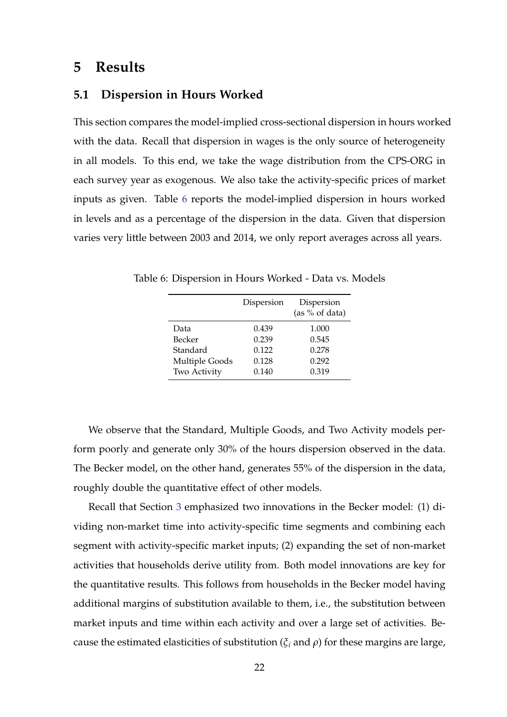## **5 Results**

### <span id="page-21-1"></span>**5.1 Dispersion in Hours Worked**

This section compares the model-implied cross-sectional dispersion in hours worked with the data. Recall that dispersion in wages is the only source of heterogeneity in all models. To this end, we take the wage distribution from the CPS-ORG in each survey year as exogenous. We also take the activity-specific prices of market inputs as given. Table [6](#page-21-0) reports the model-implied dispersion in hours worked in levels and as a percentage of the dispersion in the data. Given that dispersion varies very little between 2003 and 2014, we only report averages across all years.

<span id="page-21-0"></span>Table 6: Dispersion in Hours Worked - Data vs. Models

|                | Dispersion | Dispersion<br>(as % of data) |
|----------------|------------|------------------------------|
| Data           | 0.439      | 1.000                        |
| Becker         | 0.239      | 0.545                        |
| Standard       | 0.122      | 0.278                        |
| Multiple Goods | 0.128      | 0.292                        |
| Two Activity   | 0.140      | 0.319                        |

We observe that the Standard, Multiple Goods, and Two Activity models perform poorly and generate only 30% of the hours dispersion observed in the data. The Becker model, on the other hand, generates 55% of the dispersion in the data, roughly double the quantitative effect of other models.

Recall that Section [3](#page-9-2) emphasized two innovations in the Becker model: (1) dividing non-market time into activity-specific time segments and combining each segment with activity-specific market inputs; (2) expanding the set of non-market activities that households derive utility from. Both model innovations are key for the quantitative results. This follows from households in the Becker model having additional margins of substitution available to them, i.e., the substitution between market inputs and time within each activity and over a large set of activities. Because the estimated elasticities of substitution (*ξ<sup>i</sup>* and *ρ*) for these margins are large,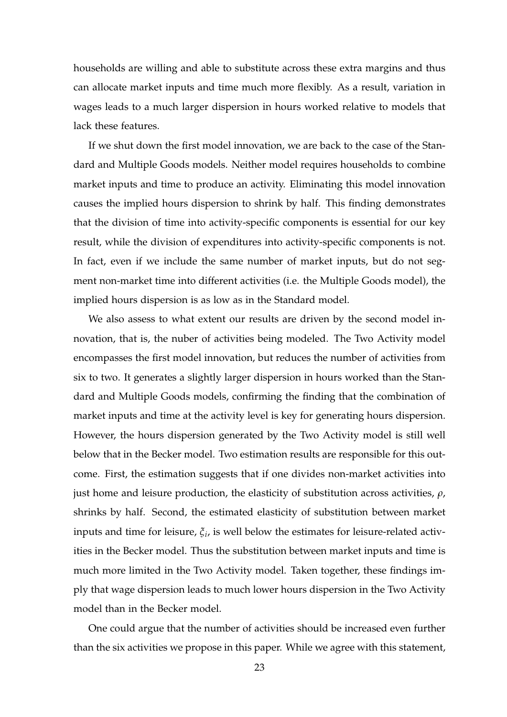households are willing and able to substitute across these extra margins and thus can allocate market inputs and time much more flexibly. As a result, variation in wages leads to a much larger dispersion in hours worked relative to models that lack these features.

If we shut down the first model innovation, we are back to the case of the Standard and Multiple Goods models. Neither model requires households to combine market inputs and time to produce an activity. Eliminating this model innovation causes the implied hours dispersion to shrink by half. This finding demonstrates that the division of time into activity-specific components is essential for our key result, while the division of expenditures into activity-specific components is not. In fact, even if we include the same number of market inputs, but do not segment non-market time into different activities (i.e. the Multiple Goods model), the implied hours dispersion is as low as in the Standard model.

We also assess to what extent our results are driven by the second model innovation, that is, the nuber of activities being modeled. The Two Activity model encompasses the first model innovation, but reduces the number of activities from six to two. It generates a slightly larger dispersion in hours worked than the Standard and Multiple Goods models, confirming the finding that the combination of market inputs and time at the activity level is key for generating hours dispersion. However, the hours dispersion generated by the Two Activity model is still well below that in the Becker model. Two estimation results are responsible for this outcome. First, the estimation suggests that if one divides non-market activities into just home and leisure production, the elasticity of substitution across activities, *ρ*, shrinks by half. Second, the estimated elasticity of substitution between market inputs and time for leisure, *ξ<sup>i</sup>* , is well below the estimates for leisure-related activities in the Becker model. Thus the substitution between market inputs and time is much more limited in the Two Activity model. Taken together, these findings imply that wage dispersion leads to much lower hours dispersion in the Two Activity model than in the Becker model.

One could argue that the number of activities should be increased even further than the six activities we propose in this paper. While we agree with this statement,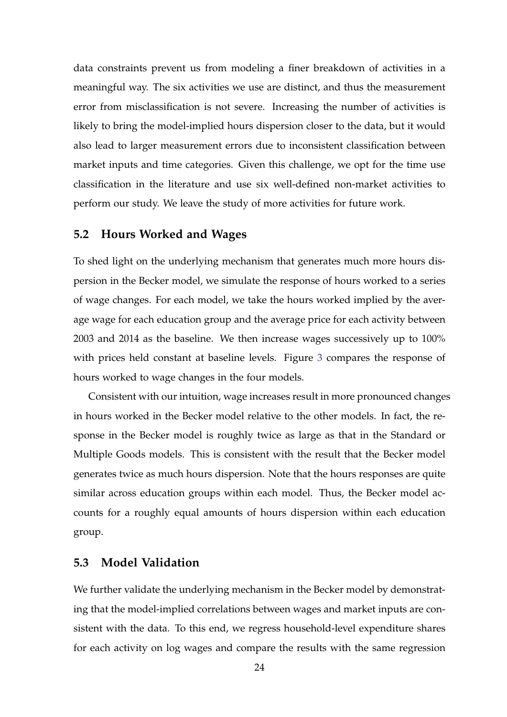data constraints prevent us from modeling a finer breakdown of activities in a meaningful way. The six activities we use are distinct, and thus the measurement error from misclassification is not severe. Increasing the number of activities is likely to bring the model-implied hours dispersion closer to the data, but it would also lead to larger measurement errors due to inconsistent classification between market inputs and time categories. Given this challenge, we opt for the time use classification in the literature and use six well-defined non-market activities to perform our study. We leave the study of more activities for future work.

### <span id="page-23-0"></span>**5.2 Hours Worked and Wages**

To shed light on the underlying mechanism that generates much more hours dispersion in the Becker model, we simulate the response of hours worked to a series of wage changes. For each model, we take the hours worked implied by the average wage for each education group and the average price for each activity between 2003 and 2014 as the baseline. We then increase wages successively up to 100% with prices held constant at baseline levels. Figure [3](#page-24-0) compares the response of hours worked to wage changes in the four models.

Consistent with our intuition, wage increases result in more pronounced changes in hours worked in the Becker model relative to the other models. In fact, the response in the Becker model is roughly twice as large as that in the Standard or Multiple Goods models. This is consistent with the result that the Becker model generates twice as much hours dispersion. Note that the hours responses are quite similar across education groups within each model. Thus, the Becker model accounts for a roughly equal amounts of hours dispersion within each education group.

### **5.3 Model Validation**

We further validate the underlying mechanism in the Becker model by demonstrating that the model-implied correlations between wages and market inputs are consistent with the data. To this end, we regress household-level expenditure shares for each activity on log wages and compare the results with the same regression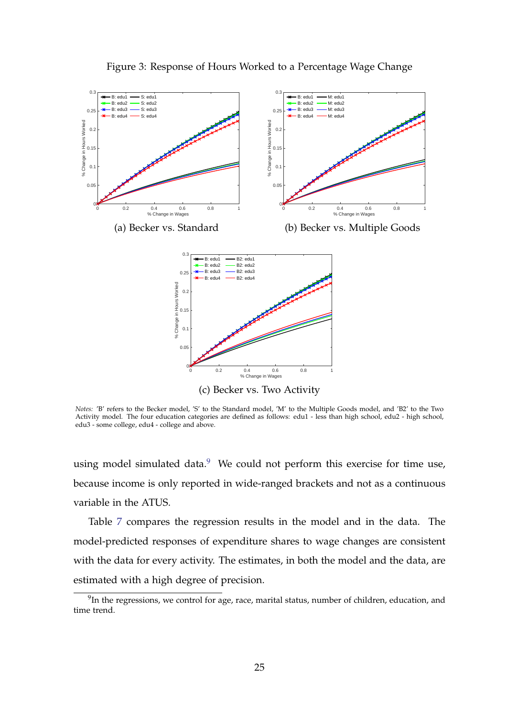<span id="page-24-0"></span>

Figure 3: Response of Hours Worked to a Percentage Wage Change

*Notes:* 'B' refers to the Becker model, 'S' to the Standard model, 'M' to the Multiple Goods model, and 'B2' to the Two Activity model. The four education categories are defined as follows: edu1 - less than high school, edu2 - high school, edu3 - some college, edu4 - college and above.

using model simulated data.<sup>[9](#page-24-1)</sup> We could not perform this exercise for time use, because income is only reported in wide-ranged brackets and not as a continuous variable in the ATUS.

Table [7](#page-25-1) compares the regression results in the model and in the data. The model-predicted responses of expenditure shares to wage changes are consistent with the data for every activity. The estimates, in both the model and the data, are estimated with a high degree of precision.

<span id="page-24-1"></span> $9$ In the regressions, we control for age, race, marital status, number of children, education, and time trend.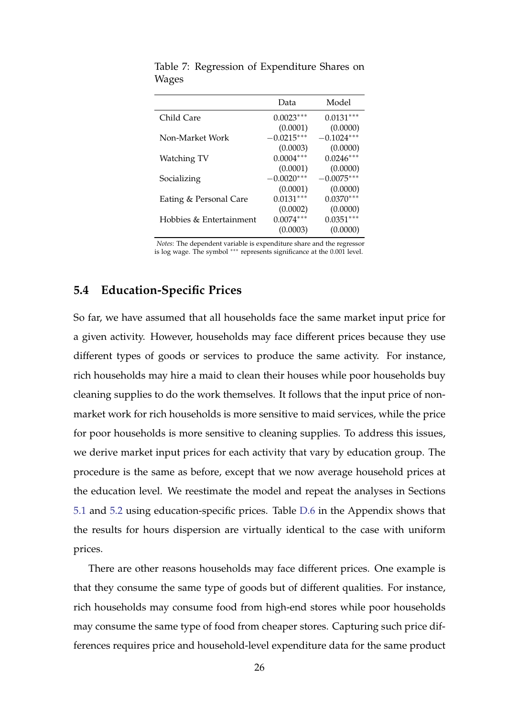|                         | Data         | Model        |
|-------------------------|--------------|--------------|
| Child Care              | $0.0023***$  | $0.0131***$  |
|                         | (0.0001)     | (0.0000)     |
| Non-Market Work         | $-0.0215***$ | $-0.1024***$ |
|                         | (0.0003)     | (0.0000)     |
| Watching TV             | $0.0004***$  | $0.0246***$  |
|                         | (0.0001)     | (0.0000)     |
| Socializing             | $-0.0020***$ | $-0.0075***$ |
|                         | (0.0001)     | (0.0000)     |
| Eating & Personal Care  | $0.0131***$  | $0.0370***$  |
|                         | (0.0002)     | (0.0000)     |
| Hobbies & Entertainment | $0.0074***$  | $0.0351***$  |
|                         | (0.0003)     | (0.0000)     |

<span id="page-25-1"></span>Table 7: Regression of Expenditure Shares on Wages

*Notes*: The dependent variable is expenditure share and the regressor is log wage. The symbol ∗∗∗ represents significance at the 0.001 level.

## <span id="page-25-0"></span>**5.4 Education-Specific Prices**

So far, we have assumed that all households face the same market input price for a given activity. However, households may face different prices because they use different types of goods or services to produce the same activity. For instance, rich households may hire a maid to clean their houses while poor households buy cleaning supplies to do the work themselves. It follows that the input price of nonmarket work for rich households is more sensitive to maid services, while the price for poor households is more sensitive to cleaning supplies. To address this issues, we derive market input prices for each activity that vary by education group. The procedure is the same as before, except that we now average household prices at the education level. We reestimate the model and repeat the analyses in Sections [5.1](#page-21-1) and [5.2](#page-23-0) using education-specific prices. Table [D.6](#page-44-0) in the Appendix shows that the results for hours dispersion are virtually identical to the case with uniform prices.

There are other reasons households may face different prices. One example is that they consume the same type of goods but of different qualities. For instance, rich households may consume food from high-end stores while poor households may consume the same type of food from cheaper stores. Capturing such price differences requires price and household-level expenditure data for the same product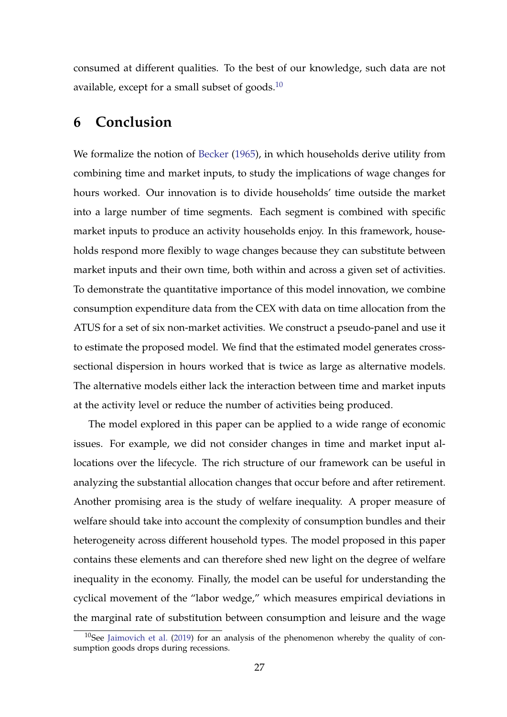consumed at different qualities. To the best of our knowledge, such data are not available, except for a small subset of goods.[10](#page-26-0)

## **6 Conclusion**

We formalize the notion of [Becker](#page-28-0) [\(1965\)](#page-28-0), in which households derive utility from combining time and market inputs, to study the implications of wage changes for hours worked. Our innovation is to divide households' time outside the market into a large number of time segments. Each segment is combined with specific market inputs to produce an activity households enjoy. In this framework, households respond more flexibly to wage changes because they can substitute between market inputs and their own time, both within and across a given set of activities. To demonstrate the quantitative importance of this model innovation, we combine consumption expenditure data from the CEX with data on time allocation from the ATUS for a set of six non-market activities. We construct a pseudo-panel and use it to estimate the proposed model. We find that the estimated model generates crosssectional dispersion in hours worked that is twice as large as alternative models. The alternative models either lack the interaction between time and market inputs at the activity level or reduce the number of activities being produced.

The model explored in this paper can be applied to a wide range of economic issues. For example, we did not consider changes in time and market input allocations over the lifecycle. The rich structure of our framework can be useful in analyzing the substantial allocation changes that occur before and after retirement. Another promising area is the study of welfare inequality. A proper measure of welfare should take into account the complexity of consumption bundles and their heterogeneity across different household types. The model proposed in this paper contains these elements and can therefore shed new light on the degree of welfare inequality in the economy. Finally, the model can be useful for understanding the cyclical movement of the "labor wedge," which measures empirical deviations in the marginal rate of substitution between consumption and leisure and the wage

<span id="page-26-0"></span> $10$ See [Jaimovich et al.](#page-29-11) [\(2019\)](#page-29-11) for an analysis of the phenomenon whereby the quality of consumption goods drops during recessions.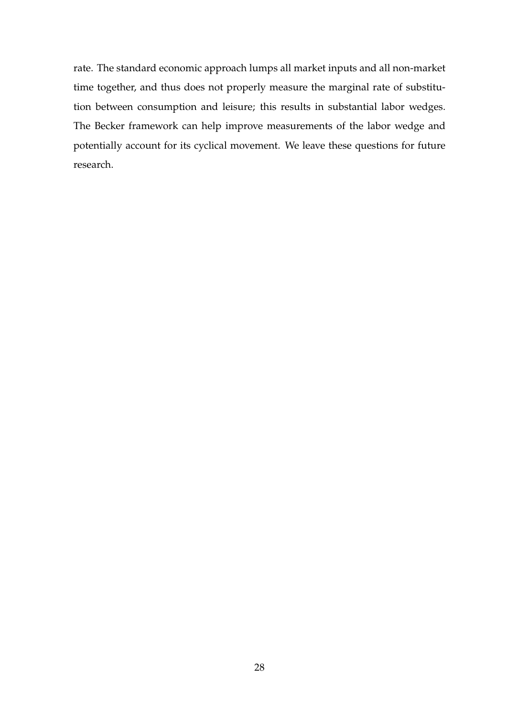rate. The standard economic approach lumps all market inputs and all non-market time together, and thus does not properly measure the marginal rate of substitution between consumption and leisure; this results in substantial labor wedges. The Becker framework can help improve measurements of the labor wedge and potentially account for its cyclical movement. We leave these questions for future research.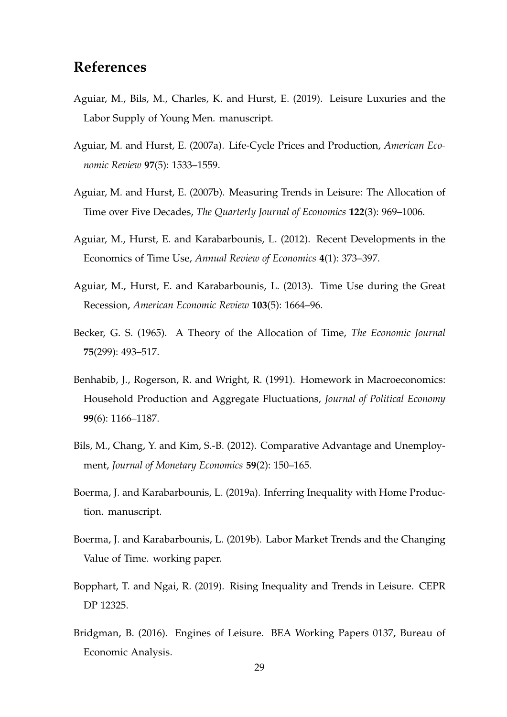# **References**

- <span id="page-28-3"></span>Aguiar, M., Bils, M., Charles, K. and Hurst, E. (2019). Leisure Luxuries and the Labor Supply of Young Men. manuscript.
- <span id="page-28-11"></span>Aguiar, M. and Hurst, E. (2007a). Life-Cycle Prices and Production, *American Economic Review* **97**(5): 1533–1559.
- <span id="page-28-2"></span>Aguiar, M. and Hurst, E. (2007b). Measuring Trends in Leisure: The Allocation of Time over Five Decades, *The Quarterly Journal of Economics* **122**(3): 969–1006.
- <span id="page-28-10"></span>Aguiar, M., Hurst, E. and Karabarbounis, L. (2012). Recent Developments in the Economics of Time Use, *Annual Review of Economics* **4**(1): 373–397.
- <span id="page-28-1"></span>Aguiar, M., Hurst, E. and Karabarbounis, L. (2013). Time Use during the Great Recession, *American Economic Review* **103**(5): 1664–96.
- <span id="page-28-0"></span>Becker, G. S. (1965). A Theory of the Allocation of Time, *The Economic Journal* **75**(299): 493–517.
- <span id="page-28-4"></span>Benhabib, J., Rogerson, R. and Wright, R. (1991). Homework in Macroeconomics: Household Production and Aggregate Fluctuations, *Journal of Political Economy* **99**(6): 1166–1187.
- <span id="page-28-9"></span>Bils, M., Chang, Y. and Kim, S.-B. (2012). Comparative Advantage and Unemployment, *Journal of Monetary Economics* **59**(2): 150–165.
- <span id="page-28-7"></span>Boerma, J. and Karabarbounis, L. (2019a). Inferring Inequality with Home Production. manuscript.
- <span id="page-28-8"></span>Boerma, J. and Karabarbounis, L. (2019b). Labor Market Trends and the Changing Value of Time. working paper.
- <span id="page-28-6"></span>Bopphart, T. and Ngai, R. (2019). Rising Inequality and Trends in Leisure. CEPR DP 12325.
- <span id="page-28-5"></span>Bridgman, B. (2016). Engines of Leisure. BEA Working Papers 0137, Bureau of Economic Analysis.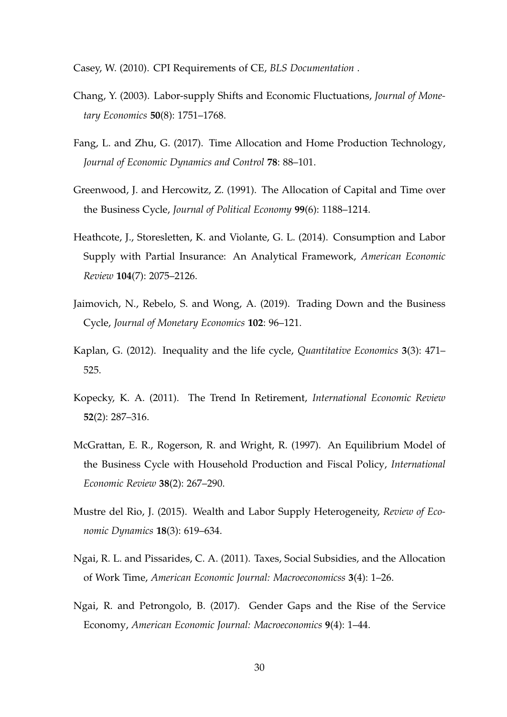<span id="page-29-9"></span>Casey, W. (2010). CPI Requirements of CE, *BLS Documentation* .

- <span id="page-29-10"></span>Chang, Y. (2003). Labor-supply Shifts and Economic Fluctuations, *Journal of Monetary Economics* **50**(8): 1751–1768.
- <span id="page-29-6"></span>Fang, L. and Zhu, G. (2017). Time Allocation and Home Production Technology, *Journal of Economic Dynamics and Control* **78**: 88–101.
- <span id="page-29-2"></span>Greenwood, J. and Hercowitz, Z. (1991). The Allocation of Capital and Time over the Business Cycle, *Journal of Political Economy* **99**(6): 1188–1214.
- <span id="page-29-1"></span>Heathcote, J., Storesletten, K. and Violante, G. L. (2014). Consumption and Labor Supply with Partial Insurance: An Analytical Framework, *American Economic Review* **104**(7): 2075–2126.
- <span id="page-29-11"></span>Jaimovich, N., Rebelo, S. and Wong, A. (2019). Trading Down and the Business Cycle, *Journal of Monetary Economics* **102**: 96–121.
- <span id="page-29-0"></span>Kaplan, G. (2012). Inequality and the life cycle, *Quantitative Economics* **3**(3): 471– 525.
- <span id="page-29-4"></span>Kopecky, K. A. (2011). The Trend In Retirement, *International Economic Review* **52**(2): 287–316.
- <span id="page-29-3"></span>McGrattan, E. R., Rogerson, R. and Wright, R. (1997). An Equilibrium Model of the Business Cycle with Household Production and Fiscal Policy, *International Economic Review* **38**(2): 267–290.
- <span id="page-29-8"></span>Mustre del Rio, J. (2015). Wealth and Labor Supply Heterogeneity, *Review of Economic Dynamics* **18**(3): 619–634.
- <span id="page-29-5"></span>Ngai, R. L. and Pissarides, C. A. (2011). Taxes, Social Subsidies, and the Allocation of Work Time, *American Economic Journal: Macroeconomicss* **3**(4): 1–26.
- <span id="page-29-7"></span>Ngai, R. and Petrongolo, B. (2017). Gender Gaps and the Rise of the Service Economy, *American Economic Journal: Macroeconomics* **9**(4): 1–44.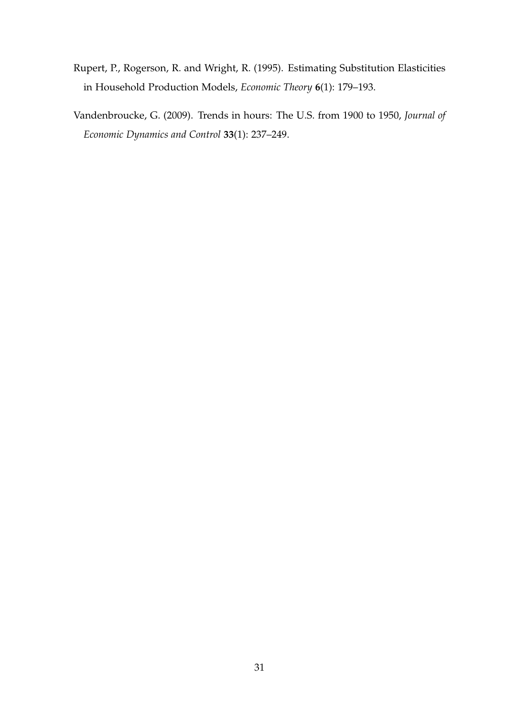- <span id="page-30-1"></span>Rupert, P., Rogerson, R. and Wright, R. (1995). Estimating Substitution Elasticities in Household Production Models, *Economic Theory* **6**(1): 179–193.
- <span id="page-30-0"></span>Vandenbroucke, G. (2009). Trends in hours: The U.S. from 1900 to 1950, *Journal of Economic Dynamics and Control* **33**(1): 237–249.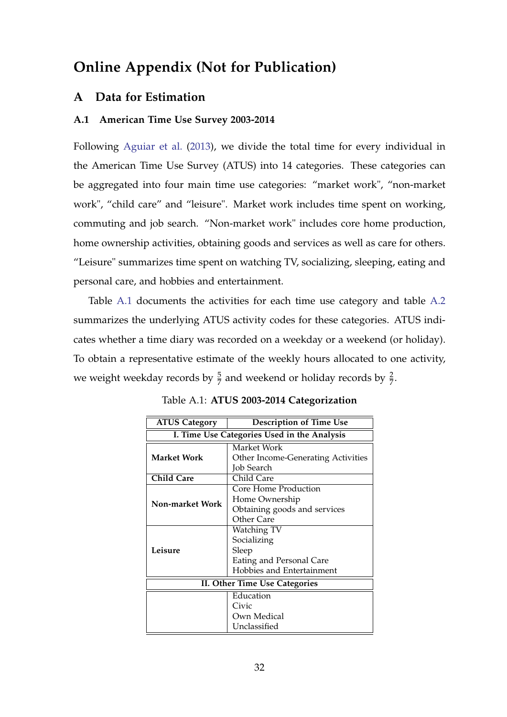# **Online Appendix (Not for Publication)**

## <span id="page-31-0"></span>**A Data for Estimation**

### <span id="page-31-2"></span>**A.1 American Time Use Survey 2003-2014**

Following [Aguiar et al.](#page-28-1) [\(2013\)](#page-28-1), we divide the total time for every individual in the American Time Use Survey (ATUS) into 14 categories. These categories can be aggregated into four main time use categories: "market work", "non-market work", "child care" and "leisure". Market work includes time spent on working, commuting and job search. "Non-market work" includes core home production, home ownership activities, obtaining goods and services as well as care for others. "Leisure" summarizes time spent on watching TV, socializing, sleeping, eating and personal care, and hobbies and entertainment.

Table [A.1](#page-31-1) documents the activities for each time use category and table [A.2](#page-32-0) summarizes the underlying ATUS activity codes for these categories. ATUS indicates whether a time diary was recorded on a weekday or a weekend (or holiday). To obtain a representative estimate of the weekly hours allocated to one activity, we weight weekday records by  $\frac{5}{7}$  and weekend or holiday records by  $\frac{2}{7}$ .

<span id="page-31-1"></span>

| <b>ATUS Category</b>                        | <b>Description of Time Use</b>            |  |  |
|---------------------------------------------|-------------------------------------------|--|--|
| I. Time Use Categories Used in the Analysis |                                           |  |  |
|                                             | Market Work                               |  |  |
| Market Work                                 | <b>Other Income-Generating Activities</b> |  |  |
|                                             | Job Search                                |  |  |
| <b>Child Care</b>                           | Child Care                                |  |  |
|                                             | Core Home Production                      |  |  |
| Non-market Work                             | Home Ownership                            |  |  |
|                                             | Obtaining goods and services              |  |  |
|                                             | Other Care                                |  |  |
|                                             | Watching TV                               |  |  |
|                                             | Socializing                               |  |  |
| Leisure                                     | Sleep                                     |  |  |
|                                             | Eating and Personal Care                  |  |  |
|                                             | Hobbies and Entertainment                 |  |  |
|                                             | II. Other Time Use Categories             |  |  |
|                                             | Education                                 |  |  |
|                                             | Civic                                     |  |  |
|                                             | Own Medical                               |  |  |
|                                             | Unclassified                              |  |  |

Table A.1: **ATUS 2003-2014 Categorization**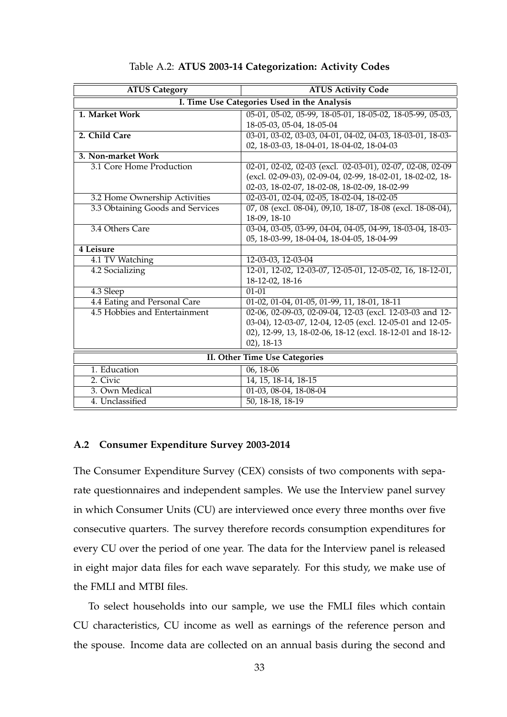<span id="page-32-0"></span>

| <b>ATUS Category</b>                 | <b>ATUS Activity Code</b>                                   |  |  |
|--------------------------------------|-------------------------------------------------------------|--|--|
|                                      | I. Time Use Categories Used in the Analysis                 |  |  |
| 1. Market Work                       | 05-01, 05-02, 05-99, 18-05-01, 18-05-02, 18-05-99, 05-03,   |  |  |
|                                      | 18-05-03, 05-04, 18-05-04                                   |  |  |
| 2. Child Care                        | 03-01, 03-02, 03-03, 04-01, 04-02, 04-03, 18-03-01, 18-03-  |  |  |
|                                      | 02, 18-03-03, 18-04-01, 18-04-02, 18-04-03                  |  |  |
| 3. Non-market Work                   |                                                             |  |  |
| 3.1 Core Home Production             | 02-01, 02-02, 02-03 (excl. 02-03-01), 02-07, 02-08, 02-09   |  |  |
|                                      | (excl. 02-09-03), 02-09-04, 02-99, 18-02-01, 18-02-02, 18-  |  |  |
|                                      | 02-03, 18-02-07, 18-02-08, 18-02-09, 18-02-99               |  |  |
| 3.2 Home Ownership Activities        | 02-03-01, 02-04, 02-05, 18-02-04, 18-02-05                  |  |  |
| 3.3 Obtaining Goods and Services     | 07, 08 (excl. 08-04), 09,10, 18-07, 18-08 (excl. 18-08-04), |  |  |
|                                      | 18-09, 18-10                                                |  |  |
| 3.4 Others Care                      | 03-04, 03-05, 03-99, 04-04, 04-05, 04-99, 18-03-04, 18-03-  |  |  |
|                                      | 05, 18-03-99, 18-04-04, 18-04-05, 18-04-99                  |  |  |
| 4 Leisure                            |                                                             |  |  |
| 4.1 TV Watching                      | 12-03-03, 12-03-04                                          |  |  |
| 4.2 Socializing                      | 12-01, 12-02, 12-03-07, 12-05-01, 12-05-02, 16, 18-12-01,   |  |  |
|                                      | 18-12-02, 18-16                                             |  |  |
| 4.3 Sleep                            | $01 - 01$                                                   |  |  |
| 4.4 Eating and Personal Care         | 01-02, 01-04, 01-05, 01-99, 11, 18-01, 18-11                |  |  |
| 4.5 Hobbies and Entertainment        | 02-06, 02-09-03, 02-09-04, 12-03 (excl. 12-03-03 and 12-    |  |  |
|                                      | 03-04), 12-03-07, 12-04, 12-05 (excl. 12-05-01 and 12-05-   |  |  |
|                                      | 02), 12-99, 13, 18-02-06, 18-12 (excl. 18-12-01 and 18-12-  |  |  |
|                                      | $02)$ , 18-13                                               |  |  |
| <b>II. Other Time Use Categories</b> |                                                             |  |  |
| 1. Education                         | $06, 18-06$                                                 |  |  |
| 2. Civic                             | 14, 15, 18-14, 18-15                                        |  |  |
| 3. Own Medical                       | 01-03, 08-04, 18-08-04                                      |  |  |
| 4. Unclassified                      | 50, 18-18, 18-19                                            |  |  |

### Table A.2: **ATUS 2003-14 Categorization: Activity Codes**

### **A.2 Consumer Expenditure Survey 2003-2014**

The Consumer Expenditure Survey (CEX) consists of two components with separate questionnaires and independent samples. We use the Interview panel survey in which Consumer Units (CU) are interviewed once every three months over five consecutive quarters. The survey therefore records consumption expenditures for every CU over the period of one year. The data for the Interview panel is released in eight major data files for each wave separately. For this study, we make use of the FMLI and MTBI files.

To select households into our sample, we use the FMLI files which contain CU characteristics, CU income as well as earnings of the reference person and the spouse. Income data are collected on an annual basis during the second and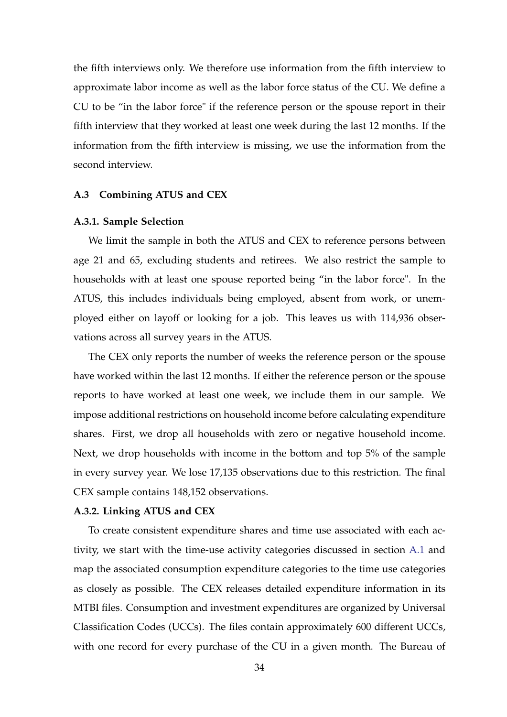the fifth interviews only. We therefore use information from the fifth interview to approximate labor income as well as the labor force status of the CU. We define a CU to be "in the labor force" if the reference person or the spouse report in their fifth interview that they worked at least one week during the last 12 months. If the information from the fifth interview is missing, we use the information from the second interview.

### **A.3 Combining ATUS and CEX**

#### **A.3.1. Sample Selection**

We limit the sample in both the ATUS and CEX to reference persons between age 21 and 65, excluding students and retirees. We also restrict the sample to households with at least one spouse reported being "in the labor force". In the ATUS, this includes individuals being employed, absent from work, or unemployed either on layoff or looking for a job. This leaves us with 114,936 observations across all survey years in the ATUS.

The CEX only reports the number of weeks the reference person or the spouse have worked within the last 12 months. If either the reference person or the spouse reports to have worked at least one week, we include them in our sample. We impose additional restrictions on household income before calculating expenditure shares. First, we drop all households with zero or negative household income. Next, we drop households with income in the bottom and top 5% of the sample in every survey year. We lose 17,135 observations due to this restriction. The final CEX sample contains 148,152 observations.

#### **A.3.2. Linking ATUS and CEX**

To create consistent expenditure shares and time use associated with each activity, we start with the time-use activity categories discussed in section [A.1](#page-31-2) and map the associated consumption expenditure categories to the time use categories as closely as possible. The CEX releases detailed expenditure information in its MTBI files. Consumption and investment expenditures are organized by Universal Classification Codes (UCCs). The files contain approximately 600 different UCCs, with one record for every purchase of the CU in a given month. The Bureau of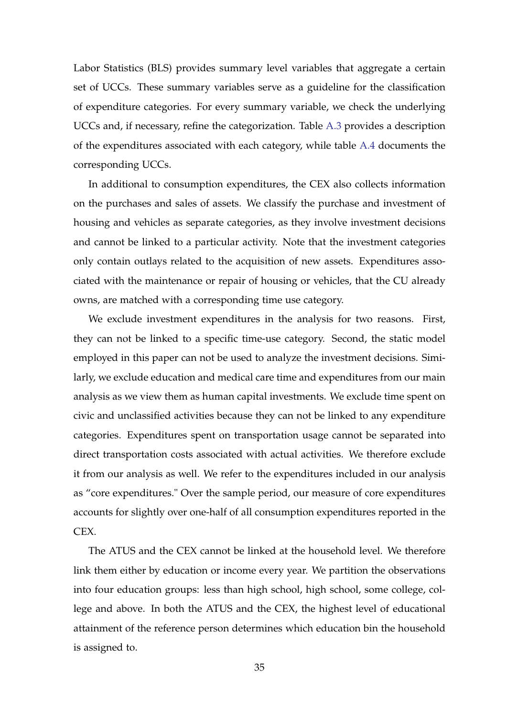Labor Statistics (BLS) provides summary level variables that aggregate a certain set of UCCs. These summary variables serve as a guideline for the classification of expenditure categories. For every summary variable, we check the underlying UCCs and, if necessary, refine the categorization. Table [A.3](#page-35-0) provides a description of the expenditures associated with each category, while table [A.4](#page-36-0) documents the corresponding UCCs.

In additional to consumption expenditures, the CEX also collects information on the purchases and sales of assets. We classify the purchase and investment of housing and vehicles as separate categories, as they involve investment decisions and cannot be linked to a particular activity. Note that the investment categories only contain outlays related to the acquisition of new assets. Expenditures associated with the maintenance or repair of housing or vehicles, that the CU already owns, are matched with a corresponding time use category.

We exclude investment expenditures in the analysis for two reasons. First, they can not be linked to a specific time-use category. Second, the static model employed in this paper can not be used to analyze the investment decisions. Similarly, we exclude education and medical care time and expenditures from our main analysis as we view them as human capital investments. We exclude time spent on civic and unclassified activities because they can not be linked to any expenditure categories. Expenditures spent on transportation usage cannot be separated into direct transportation costs associated with actual activities. We therefore exclude it from our analysis as well. We refer to the expenditures included in our analysis as "core expenditures." Over the sample period, our measure of core expenditures accounts for slightly over one-half of all consumption expenditures reported in the CEX.

The ATUS and the CEX cannot be linked at the household level. We therefore link them either by education or income every year. We partition the observations into four education groups: less than high school, high school, some college, college and above. In both the ATUS and the CEX, the highest level of educational attainment of the reference person determines which education bin the household is assigned to.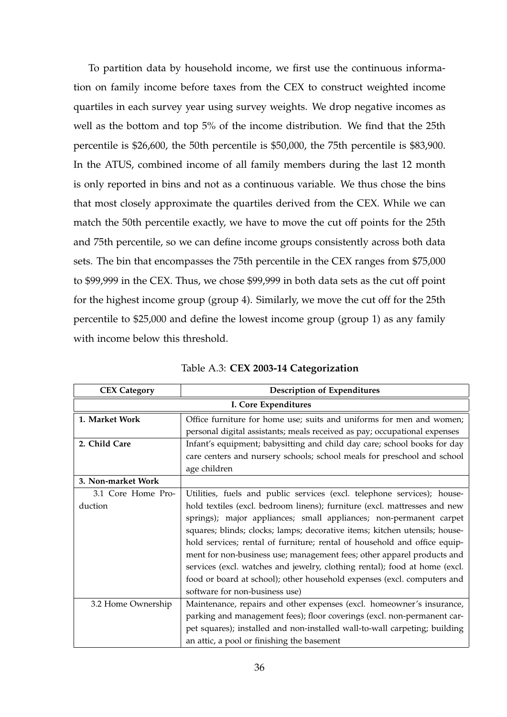To partition data by household income, we first use the continuous information on family income before taxes from the CEX to construct weighted income quartiles in each survey year using survey weights. We drop negative incomes as well as the bottom and top 5% of the income distribution. We find that the 25th percentile is \$26,600, the 50th percentile is \$50,000, the 75th percentile is \$83,900. In the ATUS, combined income of all family members during the last 12 month is only reported in bins and not as a continuous variable. We thus chose the bins that most closely approximate the quartiles derived from the CEX. While we can match the 50th percentile exactly, we have to move the cut off points for the 25th and 75th percentile, so we can define income groups consistently across both data sets. The bin that encompasses the 75th percentile in the CEX ranges from \$75,000 to \$99,999 in the CEX. Thus, we chose \$99,999 in both data sets as the cut off point for the highest income group (group 4). Similarly, we move the cut off for the 25th percentile to \$25,000 and define the lowest income group (group 1) as any family with income below this threshold.

<span id="page-35-0"></span>

| <b>CEX Category</b> | <b>Description of Expenditures</b>                                         |  |  |
|---------------------|----------------------------------------------------------------------------|--|--|
|                     | I. Core Expenditures                                                       |  |  |
| 1. Market Work      | Office furniture for home use; suits and uniforms for men and women;       |  |  |
|                     | personal digital assistants; meals received as pay; occupational expenses  |  |  |
| 2. Child Care       | Infant's equipment; babysitting and child day care; school books for day   |  |  |
|                     | care centers and nursery schools; school meals for preschool and school    |  |  |
|                     | age children                                                               |  |  |
| 3. Non-market Work  |                                                                            |  |  |
| 3.1 Core Home Pro-  | Utilities, fuels and public services (excl. telephone services); house-    |  |  |
| duction             | hold textiles (excl. bedroom linens); furniture (excl. mattresses and new  |  |  |
|                     | springs); major appliances; small appliances; non-permanent carpet         |  |  |
|                     | squares; blinds; clocks; lamps; decorative items; kitchen utensils; house- |  |  |
|                     | hold services; rental of furniture; rental of household and office equip-  |  |  |
|                     | ment for non-business use; management fees; other apparel products and     |  |  |
|                     | services (excl. watches and jewelry, clothing rental); food at home (excl. |  |  |
|                     | food or board at school); other household expenses (excl. computers and    |  |  |
|                     | software for non-business use)                                             |  |  |
| 3.2 Home Ownership  | Maintenance, repairs and other expenses (excl. homeowner's insurance,      |  |  |
|                     | parking and management fees); floor coverings (excl. non-permanent car-    |  |  |
|                     | pet squares); installed and non-installed wall-to-wall carpeting; building |  |  |
|                     | an attic, a pool or finishing the basement                                 |  |  |

Table A.3: **CEX 2003-14 Categorization**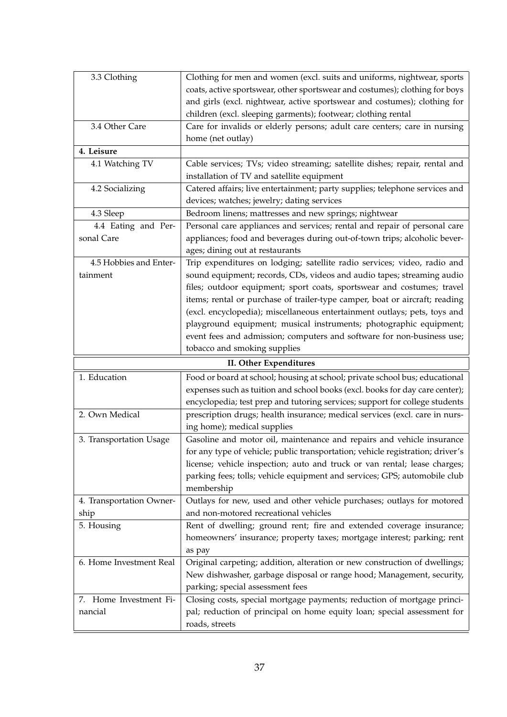<span id="page-36-0"></span>

| 3.3 Clothing                     | Clothing for men and women (excl. suits and uniforms, nightwear, sports                                                                         |  |  |  |
|----------------------------------|-------------------------------------------------------------------------------------------------------------------------------------------------|--|--|--|
|                                  | coats, active sportswear, other sportswear and costumes); clothing for boys                                                                     |  |  |  |
|                                  | and girls (excl. nightwear, active sportswear and costumes); clothing for                                                                       |  |  |  |
|                                  | children (excl. sleeping garments); footwear; clothing rental                                                                                   |  |  |  |
| 3.4 Other Care                   | Care for invalids or elderly persons; adult care centers; care in nursing                                                                       |  |  |  |
|                                  | home (net outlay)                                                                                                                               |  |  |  |
| 4. Leisure                       |                                                                                                                                                 |  |  |  |
| 4.1 Watching TV                  | Cable services; TVs; video streaming; satellite dishes; repair, rental and                                                                      |  |  |  |
|                                  | installation of TV and satellite equipment                                                                                                      |  |  |  |
| 4.2 Socializing                  | Catered affairs; live entertainment; party supplies; telephone services and                                                                     |  |  |  |
|                                  | devices; watches; jewelry; dating services                                                                                                      |  |  |  |
| 4.3 Sleep                        | Bedroom linens; mattresses and new springs; nightwear                                                                                           |  |  |  |
| 4.4 Eating and Per-              | Personal care appliances and services; rental and repair of personal care                                                                       |  |  |  |
| sonal Care                       | appliances; food and beverages during out-of-town trips; alcoholic bever-                                                                       |  |  |  |
|                                  | ages; dining out at restaurants                                                                                                                 |  |  |  |
| 4.5 Hobbies and Enter-           | Trip expenditures on lodging; satellite radio services; video, radio and                                                                        |  |  |  |
| tainment                         | sound equipment; records, CDs, videos and audio tapes; streaming audio                                                                          |  |  |  |
|                                  | files; outdoor equipment; sport coats, sportswear and costumes; travel                                                                          |  |  |  |
|                                  | items; rental or purchase of trailer-type camper, boat or aircraft; reading                                                                     |  |  |  |
|                                  | (excl. encyclopedia); miscellaneous entertainment outlays; pets, toys and                                                                       |  |  |  |
|                                  | playground equipment; musical instruments; photographic equipment;                                                                              |  |  |  |
|                                  | event fees and admission; computers and software for non-business use;                                                                          |  |  |  |
|                                  | tobacco and smoking supplies                                                                                                                    |  |  |  |
| II. Other Expenditures           |                                                                                                                                                 |  |  |  |
|                                  |                                                                                                                                                 |  |  |  |
| 1. Education                     | Food or board at school; housing at school; private school bus; educational                                                                     |  |  |  |
|                                  | expenses such as tuition and school books (excl. books for day care center);                                                                    |  |  |  |
|                                  | encyclopedia; test prep and tutoring services; support for college students                                                                     |  |  |  |
| 2. Own Medical                   | prescription drugs; health insurance; medical services (excl. care in nurs-                                                                     |  |  |  |
|                                  | ing home); medical supplies                                                                                                                     |  |  |  |
| 3. Transportation Usage          | Gasoline and motor oil, maintenance and repairs and vehicle insurance                                                                           |  |  |  |
|                                  | for any type of vehicle; public transportation; vehicle registration; driver's                                                                  |  |  |  |
|                                  | license; vehicle inspection; auto and truck or van rental; lease charges;                                                                       |  |  |  |
|                                  | parking fees; tolls; vehicle equipment and services; GPS; automobile club                                                                       |  |  |  |
|                                  | membership                                                                                                                                      |  |  |  |
| 4. Transportation Owner-<br>ship | Outlays for new, used and other vehicle purchases; outlays for motored<br>and non-motored recreational vehicles                                 |  |  |  |
|                                  |                                                                                                                                                 |  |  |  |
| 5. Housing                       | Rent of dwelling; ground rent; fire and extended coverage insurance;<br>homeowners' insurance; property taxes; mortgage interest; parking; rent |  |  |  |
|                                  | as pay                                                                                                                                          |  |  |  |
| 6. Home Investment Real          | Original carpeting; addition, alteration or new construction of dwellings;                                                                      |  |  |  |
|                                  | New dishwasher, garbage disposal or range hood; Management, security,                                                                           |  |  |  |
|                                  | parking; special assessment fees                                                                                                                |  |  |  |
| 7. Home Investment Fi-           | Closing costs, special mortgage payments; reduction of mortgage princi-                                                                         |  |  |  |
| nancial                          | pal; reduction of principal on home equity loan; special assessment for<br>roads, streets                                                       |  |  |  |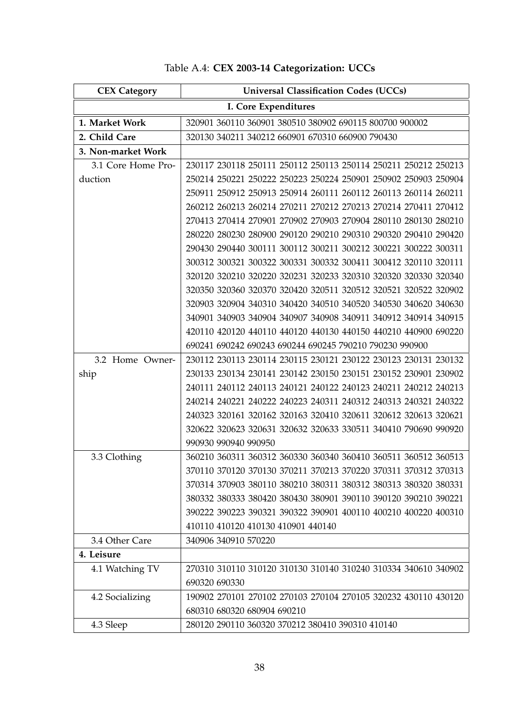| <b>CEX Category</b> | <b>Universal Classification Codes (UCCs)</b>                   |
|---------------------|----------------------------------------------------------------|
|                     | I. Core Expenditures                                           |
| 1. Market Work      | 320901 360110 360901 380510 380902 690115 800700 900002        |
| 2. Child Care       | 320130 340211 340212 660901 670310 660900 790430               |
| 3. Non-market Work  |                                                                |
| 3.1 Core Home Pro-  | 230117 230118 250111 250112 250113 250114 250211 250212 250213 |
| duction             | 250214 250221 250222 250223 250224 250901 250902 250903 250904 |
|                     | 250911 250912 250913 250914 260111 260112 260113 260114 260211 |
|                     | 260212 260213 260214 270211 270212 270213 270214 270411 270412 |
|                     | 270413 270414 270901 270902 270903 270904 280110 280130 280210 |
|                     | 280220 280230 280900 290120 290210 290310 290320 290410 290420 |
|                     | 290430 290440 300111 300112 300211 300212 300221 300222 300311 |
|                     | 300312 300321 300322 300331 300332 300411 300412 320110 320111 |
|                     | 320120 320210 320220 320231 320233 320310 320320 320330 320340 |
|                     | 320350 320360 320370 320420 320511 320512 320521 320522 320902 |
|                     | 320903 320904 340310 340420 340510 340520 340530 340620 340630 |
|                     | 340901 340903 340904 340907 340908 340911 340912 340914 340915 |
|                     | 420110 420120 440110 440120 440130 440150 440210 440900 690220 |
|                     | 690241 690242 690243 690244 690245 790210 790230 990900        |
| 3.2 Home Owner-     | 230112 230113 230114 230115 230121 230122 230123 230131 230132 |
| ship                | 230133 230134 230141 230142 230150 230151 230152 230901 230902 |
|                     | 240111 240112 240113 240121 240122 240123 240211 240212 240213 |
|                     | 240214 240221 240222 240223 240311 240312 240313 240321 240322 |
|                     | 240323 320161 320162 320163 320410 320611 320612 320613 320621 |
|                     | 320622 320623 320631 320632 320633 330511 340410 790690 990920 |
|                     | 990930 990940 990950                                           |
| 3.3 Clothing        | 360210 360311 360312 360330 360340 360410 360511 360512 360513 |
|                     | 370110 370120 370130 370211 370213 370220 370311 370312 370313 |
|                     | 370314 370903 380110 380210 380311 380312 380313 380320 380331 |
|                     | 380332 380333 380420 380430 380901 390110 390120 390210 390221 |
|                     | 390222 390223 390321 390322 390901 400110 400210 400220 400310 |
|                     | 410110 410120 410130 410901 440140                             |
| 3.4 Other Care      | 340906 340910 570220                                           |
| 4. Leisure          |                                                                |
| 4.1 Watching TV     | 270310 310110 310120 310130 310140 310240 310334 340610 340902 |
|                     | 690320 690330                                                  |
| 4.2 Socializing     | 190902 270101 270102 270103 270104 270105 320232 430110 430120 |
|                     | 680310 680320 680904 690210                                    |
| 4.3 Sleep           | 280120 290110 360320 370212 380410 390310 410140               |

# Table A.4: **CEX 2003-14 Categorization: UCCs**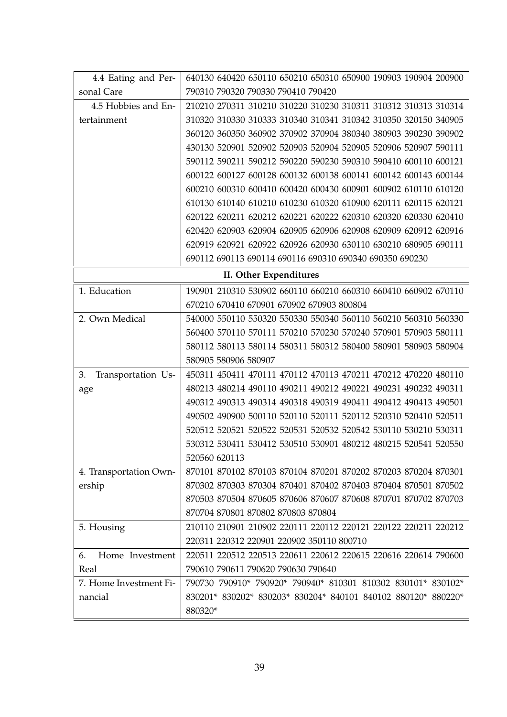| 4.4 Eating and Per-      | 640130 640420 650110 650210 650310 650900 190903 190904 200900 |  |  |  |  |  |
|--------------------------|----------------------------------------------------------------|--|--|--|--|--|
| sonal Care               | 790310 790320 790330 790410 790420                             |  |  |  |  |  |
| 4.5 Hobbies and En-      | 210210 270311 310210 310220 310230 310311 310312 310313 310314 |  |  |  |  |  |
| tertainment              | 310320 310330 310333 310340 310341 310342 310350 320150 340905 |  |  |  |  |  |
|                          | 360120 360350 360902 370902 370904 380340 380903 390230 390902 |  |  |  |  |  |
|                          | 430130 520901 520902 520903 520904 520905 520906 520907 590111 |  |  |  |  |  |
|                          | 590112 590211 590212 590220 590230 590310 590410 600110 600121 |  |  |  |  |  |
|                          | 600122 600127 600128 600132 600138 600141 600142 600143 600144 |  |  |  |  |  |
|                          | 600210 600310 600410 600420 600430 600901 600902 610110 610120 |  |  |  |  |  |
|                          | 610130 610140 610210 610230 610320 610900 620111 620115 620121 |  |  |  |  |  |
|                          | 620122 620211 620212 620221 620222 620310 620320 620330 620410 |  |  |  |  |  |
|                          | 620420 620903 620904 620905 620906 620908 620909 620912 620916 |  |  |  |  |  |
|                          | 620919 620921 620922 620926 620930 630110 630210 680905 690111 |  |  |  |  |  |
|                          | 690112 690113 690114 690116 690310 690340 690350 690230        |  |  |  |  |  |
| II. Other Expenditures   |                                                                |  |  |  |  |  |
| 1. Education             | 190901 210310 530902 660110 660210 660310 660410 660902 670110 |  |  |  |  |  |
|                          | 670210 670410 670901 670902 670903 800804                      |  |  |  |  |  |
| 2. Own Medical           | 540000 550110 550320 550330 550340 560110 560210 560310 560330 |  |  |  |  |  |
|                          | 560400 570110 570111 570210 570230 570240 570901 570903 580111 |  |  |  |  |  |
|                          | 580112 580113 580114 580311 580312 580400 580901 580903 580904 |  |  |  |  |  |
|                          | 580905 580906 580907                                           |  |  |  |  |  |
| Transportation Us-<br>3. | 450311 450411 470111 470112 470113 470211 470212 470220 480110 |  |  |  |  |  |
| age                      | 480213 480214 490110 490211 490212 490221 490231 490232 490311 |  |  |  |  |  |
|                          | 490312 490313 490314 490318 490319 490411 490412 490413 490501 |  |  |  |  |  |
|                          | 490502 490900 500110 520110 520111 520112 520310 520410 520511 |  |  |  |  |  |
|                          | 520512 520521 520522 520531 520532 520542 530110 530210 530311 |  |  |  |  |  |
|                          | 530312 530411 530412 530510 530901 480212 480215 520541 520550 |  |  |  |  |  |
|                          | 520560 620113                                                  |  |  |  |  |  |
| 4. Transportation Own-   | 870101 870102 870103 870104 870201 870202 870203 870204 870301 |  |  |  |  |  |
| ership                   | 870302 870303 870304 870401 870402 870403 870404 870501 870502 |  |  |  |  |  |
|                          | 870503 870504 870605 870606 870607 870608 870701 870702 870703 |  |  |  |  |  |
|                          | 870704 870801 870802 870803 870804                             |  |  |  |  |  |
| 5. Housing               | 210110 210901 210902 220111 220112 220121 220122 220211 220212 |  |  |  |  |  |
|                          | 220311 220312 220901 220902 350110 800710                      |  |  |  |  |  |
| Home Investment<br>6.    | 220511 220512 220513 220611 220612 220615 220616 220614 790600 |  |  |  |  |  |
| Real                     | 790610 790611 790620 790630 790640                             |  |  |  |  |  |
| 7. Home Investment Fi-   | 790730 790910* 790920* 790940* 810301 810302 830101* 830102*   |  |  |  |  |  |
| nancial                  | 830201* 830202* 830203* 830204* 840101 840102 880120* 880220*  |  |  |  |  |  |
|                          | 880320*                                                        |  |  |  |  |  |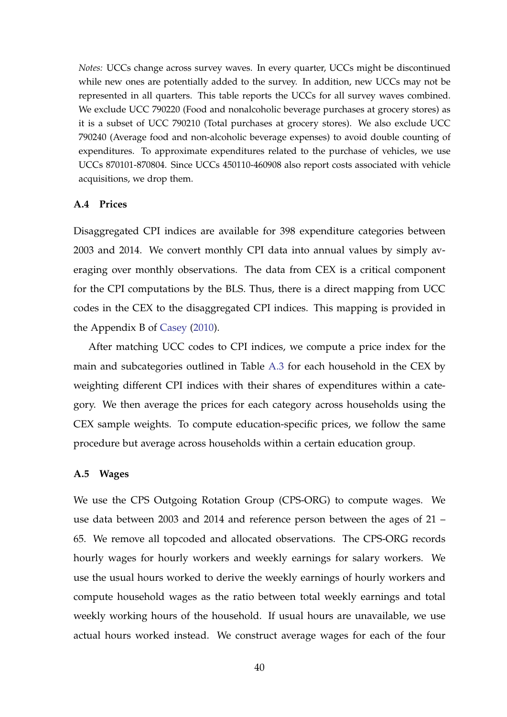*Notes:* UCCs change across survey waves. In every quarter, UCCs might be discontinued while new ones are potentially added to the survey. In addition, new UCCs may not be represented in all quarters. This table reports the UCCs for all survey waves combined. We exclude UCC 790220 (Food and nonalcoholic beverage purchases at grocery stores) as it is a subset of UCC 790210 (Total purchases at grocery stores). We also exclude UCC 790240 (Average food and non-alcoholic beverage expenses) to avoid double counting of expenditures. To approximate expenditures related to the purchase of vehicles, we use UCCs 870101-870804. Since UCCs 450110-460908 also report costs associated with vehicle acquisitions, we drop them.

#### <span id="page-39-0"></span>**A.4 Prices**

Disaggregated CPI indices are available for 398 expenditure categories between 2003 and 2014. We convert monthly CPI data into annual values by simply averaging over monthly observations. The data from CEX is a critical component for the CPI computations by the BLS. Thus, there is a direct mapping from UCC codes in the CEX to the disaggregated CPI indices. This mapping is provided in the Appendix B of [Casey](#page-29-9) [\(2010\)](#page-29-9).

After matching UCC codes to CPI indices, we compute a price index for the main and subcategories outlined in Table [A.3](#page-35-0) for each household in the CEX by weighting different CPI indices with their shares of expenditures within a category. We then average the prices for each category across households using the CEX sample weights. To compute education-specific prices, we follow the same procedure but average across households within a certain education group.

#### <span id="page-39-1"></span>**A.5 Wages**

We use the CPS Outgoing Rotation Group (CPS-ORG) to compute wages. We use data between 2003 and 2014 and reference person between the ages of 21 – 65. We remove all topcoded and allocated observations. The CPS-ORG records hourly wages for hourly workers and weekly earnings for salary workers. We use the usual hours worked to derive the weekly earnings of hourly workers and compute household wages as the ratio between total weekly earnings and total weekly working hours of the household. If usual hours are unavailable, we use actual hours worked instead. We construct average wages for each of the four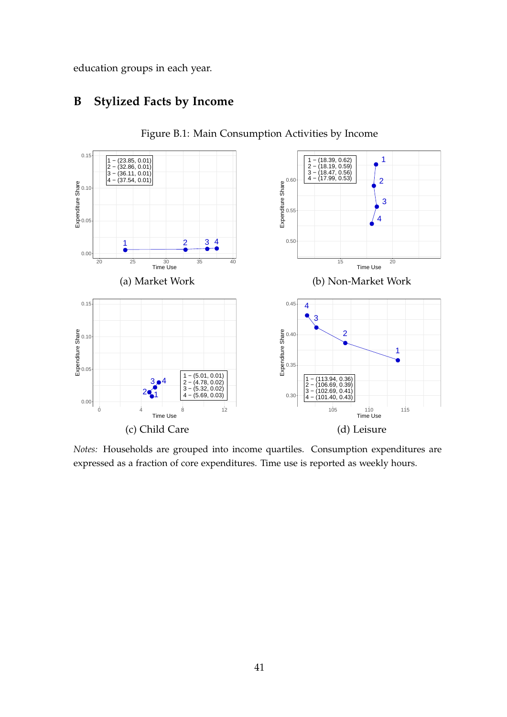education groups in each year.

## **B Stylized Facts by Income**

<span id="page-40-0"></span>

Figure B.1: Main Consumption Activities by Income

*Notes:* Households are grouped into income quartiles. Consumption expenditures are expressed as a fraction of core expenditures. Time use is reported as weekly hours.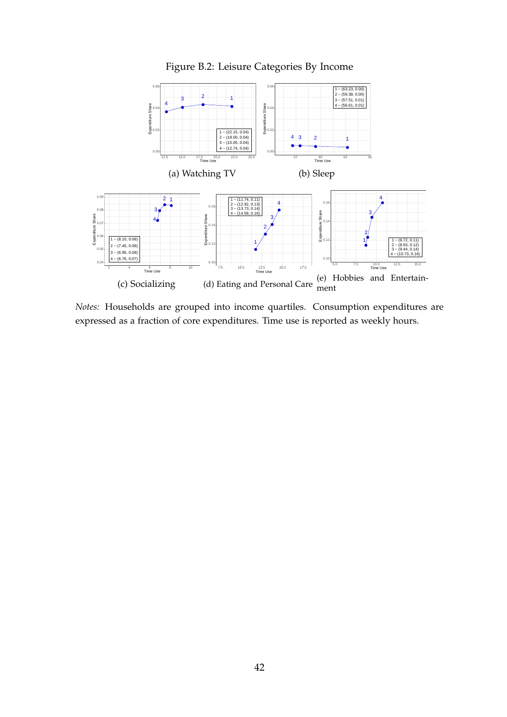

<span id="page-41-0"></span>

*Notes:* Households are grouped into income quartiles. Consumption expenditures are expressed as a fraction of core expenditures. Time use is reported as weekly hours.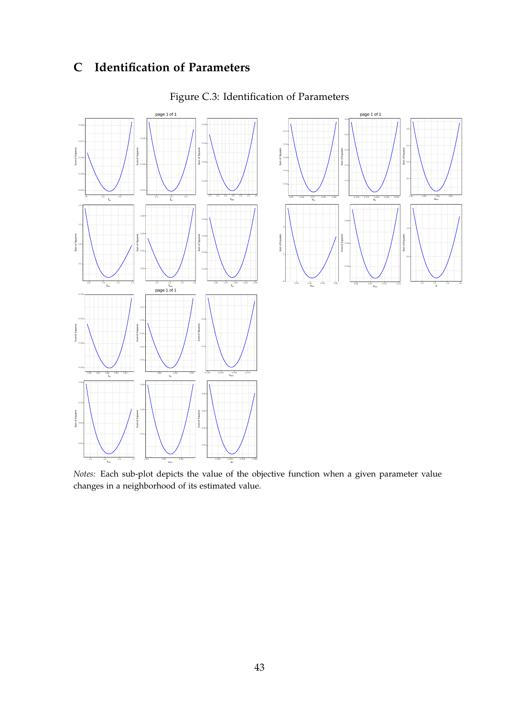# **C Identification of Parameters**

<span id="page-42-0"></span>

## Figure C.3: Identification of Parameters

*Notes:* Each sub-plot depicts the value of the objective function when a given parameter value changes in a neighborhood of its estimated value.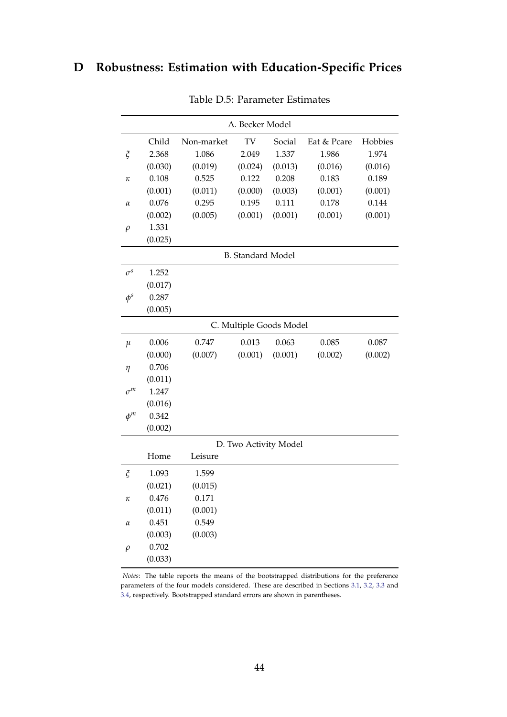# **D Robustness: Estimation with Education-Specific Prices**

| A. Becker Model              |         |            |                         |         |             |         |  |
|------------------------------|---------|------------|-------------------------|---------|-------------|---------|--|
|                              | Child   | Non-market | TV                      | Social  | Eat & Pcare | Hobbies |  |
| $\boldsymbol{\tilde{\zeta}}$ | 2.368   | 1.086      | 2.049                   | 1.337   | 1.986       | 1.974   |  |
|                              | (0.030) | (0.019)    | (0.024)                 | (0.013) | (0.016)     | (0.016) |  |
| κ                            | 0.108   | 0.525      | 0.122                   | 0.208   | 0.183       | 0.189   |  |
|                              | (0.001) | (0.011)    | (0.000)                 | (0.003) | (0.001)     | (0.001) |  |
| α                            | 0.076   | 0.295      | 0.195                   | 0.111   | 0.178       | 0.144   |  |
|                              | (0.002) | (0.005)    | (0.001)                 | (0.001) | (0.001)     | (0.001) |  |
| $\rho$                       | 1.331   |            |                         |         |             |         |  |
|                              | (0.025) |            |                         |         |             |         |  |
| <b>B.</b> Standard Model     |         |            |                         |         |             |         |  |
| $\sigma^s$                   | 1.252   |            |                         |         |             |         |  |
|                              | (0.017) |            |                         |         |             |         |  |
| $\phi^s$                     | 0.287   |            |                         |         |             |         |  |
|                              | (0.005) |            |                         |         |             |         |  |
|                              |         |            | C. Multiple Goods Model |         |             |         |  |
| $\mu$                        | 0.006   | 0.747      | 0.013                   | 0.063   | 0.085       | 0.087   |  |
|                              | (0.000) | (0.007)    | (0.001)                 | (0.001) | (0.002)     | (0.002) |  |
| $\eta$                       | 0.706   |            |                         |         |             |         |  |
|                              | (0.011) |            |                         |         |             |         |  |
| $\sigma^m$                   | 1.247   |            |                         |         |             |         |  |
|                              | (0.016) |            |                         |         |             |         |  |
| $\phi^m$                     | 0.342   |            |                         |         |             |         |  |
|                              | (0.002) |            |                         |         |             |         |  |
| D. Two Activity Model        |         |            |                         |         |             |         |  |
|                              | Home    | Leisure    |                         |         |             |         |  |
| $\zeta$                      | 1.093   | 1.599      |                         |         |             |         |  |
|                              | (0.021) | (0.015)    |                         |         |             |         |  |
| κ                            | 0.476   | 0.171      |                         |         |             |         |  |
|                              | (0.011) | (0.001)    |                         |         |             |         |  |
| $\alpha$                     | 0.451   | 0.549      |                         |         |             |         |  |
|                              | (0.003) | (0.003)    |                         |         |             |         |  |
| $\rho$                       | 0.702   |            |                         |         |             |         |  |
|                              | (0.033) |            |                         |         |             |         |  |

Table D.5: Parameter Estimates

*Notes*: The table reports the means of the bootstrapped distributions for the preference parameters of the four models considered. These are described in Sections [3.1,](#page-9-1) [3.2,](#page-12-0) [3.3](#page-12-1) and [3.4,](#page-14-1) respectively. Bootstrapped standard errors are shown in parentheses.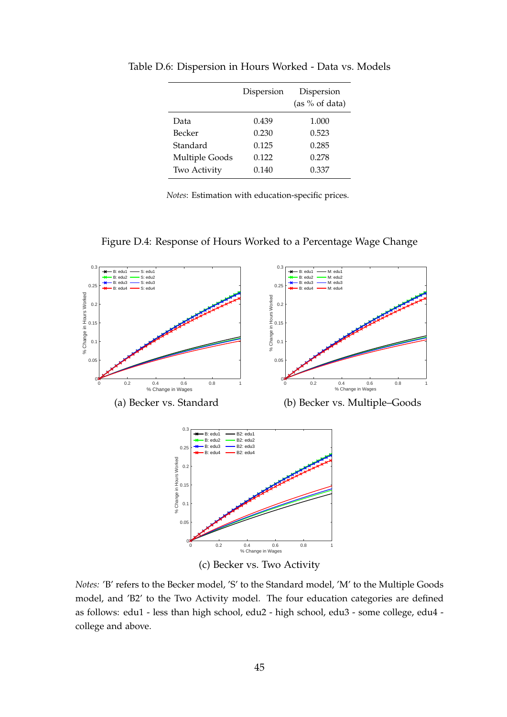|                | Dispersion | Dispersion<br>(as $%$ of data) |
|----------------|------------|--------------------------------|
| Data           | 0.439      | 1.000                          |
| Becker         | 0.230      | 0.523                          |
| Standard       | 0.125      | 0.285                          |
| Multiple Goods | 0.122      | 0.278                          |
| Two Activity   | 0.140      | 0.337                          |

<span id="page-44-0"></span>Table D.6: Dispersion in Hours Worked - Data vs. Models

*Notes*: Estimation with education-specific prices.





*Notes:* 'B' refers to the Becker model, 'S' to the Standard model, 'M' to the Multiple Goods model, and 'B2' to the Two Activity model. The four education categories are defined as follows: edu1 - less than high school, edu2 - high school, edu3 - some college, edu4 college and above.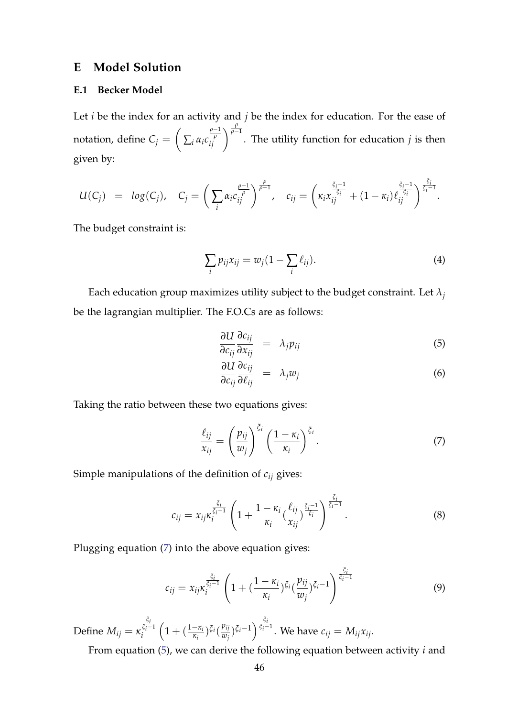### **E Model Solution**

### **E.1 Becker Model**

Let *i* be the index for an activity and *j* be the index for education. For the ease of notation, define  $C_j = \left(\right)$  $\sum_i \alpha_i c$ *ρ*−1 *ρ*  $\left(\frac{\rho-1}{\rho}\right)^{\frac{\rho}{\rho-1}}$ . The utility function for education *j* is then given by:

$$
U(C_j) = log(C_j), \quad C_j = \left(\sum_i \alpha_i c_{ij}^{\frac{\rho-1}{\rho}}\right)^{\frac{\rho}{\rho-1}}, \quad c_{ij} = \left(\kappa_i x_{ij}^{\frac{\xi_i-1}{\xi_i}} + (1-\kappa_i) c_{ij}^{\frac{\xi_i-1}{\xi_i}}\right)^{\frac{\xi_i}{\xi_i-1}}.
$$

The budget constraint is:

$$
\sum_{i} p_{ij} x_{ij} = w_j (1 - \sum_{i} \ell_{ij}). \tag{4}
$$

Each education group maximizes utility subject to the budget constraint. Let  $\lambda_i$ be the lagrangian multiplier. The F.O.Cs are as follows:

<span id="page-45-1"></span>
$$
\frac{\partial U}{\partial c_{ij}} \frac{\partial c_{ij}}{\partial x_{ij}} = \lambda_j p_{ij} \tag{5}
$$

$$
\frac{\partial U}{\partial c_{ij}} \frac{\partial c_{ij}}{\partial \ell_{ij}} = \lambda_j w_j \tag{6}
$$

Taking the ratio between these two equations gives:

<span id="page-45-0"></span>
$$
\frac{\ell_{ij}}{x_{ij}} = \left(\frac{p_{ij}}{w_j}\right)^{\xi_i} \left(\frac{1-\kappa_i}{\kappa_i}\right)^{\xi_i}.
$$
\n(7)

Simple manipulations of the definition of *cij* gives:

$$
c_{ij} = x_{ij}\kappa_i^{\frac{\tilde{\zeta}_i}{\tilde{\zeta}_i-1}} \left(1 + \frac{1 - \kappa_i}{\kappa_i} \left(\frac{\ell_{ij}}{x_{ij}}\right)^{\frac{\tilde{\zeta}_i-1}{\tilde{\zeta}_i}}\right)^{\frac{\tilde{\zeta}_i}{\tilde{\zeta}_i-1}}.
$$
 (8)

Plugging equation [\(7\)](#page-45-0) into the above equation gives:

$$
c_{ij} = x_{ij}\kappa_i^{\frac{\xi_i}{\xi_i - 1}} \left( 1 + \left( \frac{1 - \kappa_i}{\kappa_i} \right)^{\xi_i} \left( \frac{p_{ij}}{w_j} \right)^{\xi_i - 1} \right)^{\frac{\xi_i}{\xi_i - 1}}
$$
(9)

*ξ*

Define  $M_{ij} = \kappa$ *ξ i ξ <sup>i</sup>*−<sup>1</sup> *i*  $\left(1 + \left(\frac{1-\kappa_i}{\kappa_i}\right)\xi_i\left(\frac{p_{ij}}{w_j}\right)\right)$  $(\frac{p_{ij}}{w_j})$ ξ<sup>*i*−1</sup>)<sup> ξ*i*−1</sup>. We have  $c_{ij} = M_{ij}x_{ij}$ .

From equation [\(5\)](#page-45-1), we can derive the following equation between activity *i* and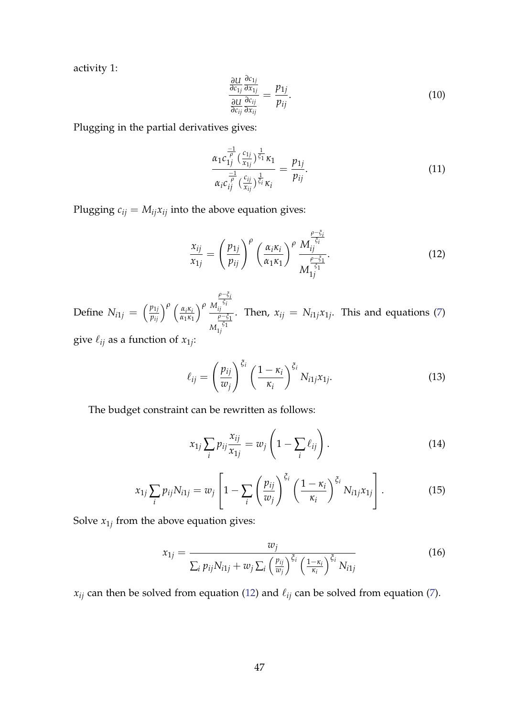activity 1:

$$
\frac{\frac{\partial U}{\partial c_{1j}} \frac{\partial c_{1j}}{\partial x_{1j}}}{\frac{\partial U}{\partial c_{ij}} \frac{\partial c_{ij}}{\partial x_{ij}}} = \frac{p_{1j}}{p_{ij}}.
$$
\n(10)

Plugging in the partial derivatives gives:

$$
\frac{\alpha_1 c_{1j}^{\frac{-1}{\rho}}(\frac{c_{1j}}{x_{1j}})^{\frac{1}{\xi_1}} \kappa_1}{\alpha_i c_{ij}^{\frac{-1}{\rho}}(\frac{c_{ij}}{x_{ij}})^{\frac{1}{\xi_i}} \kappa_i} = \frac{p_{1j}}{p_{ij}}.
$$
\n(11)

Plugging  $c_{ij} = M_{ij}x_{ij}$  into the above equation gives:

<span id="page-46-0"></span>
$$
\frac{x_{ij}}{x_{1j}} = \left(\frac{p_{1j}}{p_{ij}}\right)^{\rho} \left(\frac{\alpha_i \kappa_i}{\alpha_1 \kappa_1}\right)^{\rho} \frac{M_{ij}^{\frac{\rho-\xi_i}{\zeta_i}}}{M_{1j}^{\frac{\rho-\xi_1}{\zeta_1}}}.
$$
(12)

Define  $N_{i1j} = \left(\frac{p_{1j}}{p_{ij}}\right)^{\rho} \left(\frac{\alpha_i \kappa_i}{\alpha_1 \kappa_1}\right)$ *α*1*κ*1 *<sup>ρ</sup> <sup>M</sup> ρ*−*ξ i ξ i ij M <sup>ρ</sup>*−*ξ*<sup>1</sup> *ξ*1 1*j* . Then,  $x_{ij} = N_{i1j}x_{1j}$ . This and equations [\(7\)](#page-45-0)

give  $\ell_{ij}$  as a function of  $x_{1j}$ :

$$
\ell_{ij} = \left(\frac{p_{ij}}{w_j}\right)^{\xi_i} \left(\frac{1-\kappa_i}{\kappa_i}\right)^{\xi_i} N_{i1j} x_{1j}.
$$
\n(13)

The budget constraint can be rewritten as follows:

$$
x_{1j} \sum_i p_{ij} \frac{x_{ij}}{x_{1j}} = w_j \left( 1 - \sum_i \ell_{ij} \right). \tag{14}
$$

$$
x_{1j} \sum_{i} p_{ij} N_{i1j} = w_j \left[ 1 - \sum_{i} \left( \frac{p_{ij}}{w_j} \right)^{\xi_i} \left( \frac{1 - \kappa_i}{\kappa_i} \right)^{\xi_i} N_{i1j} x_{1j} \right]. \tag{15}
$$

Solve *x*1*<sup>j</sup>* from the above equation gives:

$$
x_{1j} = \frac{w_j}{\sum_i p_{ij} N_{i1j} + w_j \sum_i \left(\frac{p_{ij}}{w_j}\right)^{\xi_i} \left(\frac{1-\kappa_i}{\kappa_i}\right)^{\xi_i} N_{i1j}}
$$
(16)

 $x_{ij}$  can then be solved from equation [\(12\)](#page-46-0) and  $\ell_{ij}$  can be solved from equation [\(7\)](#page-45-0).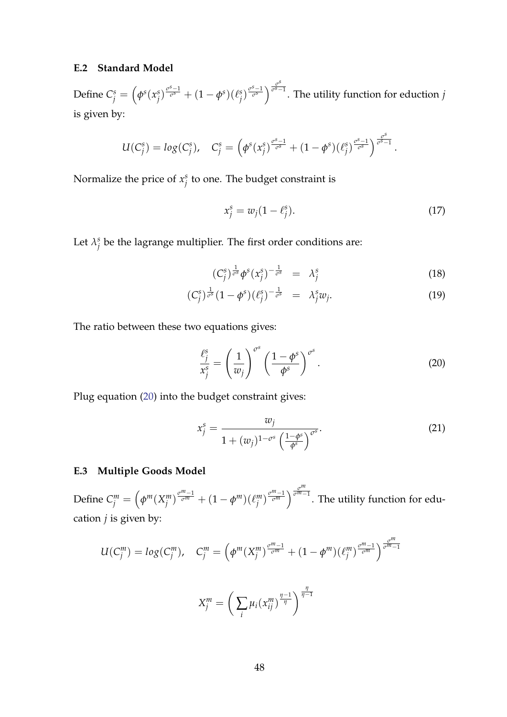### **E.2 Standard Model**

Define  $C_j^s = \left(\phi^s(x_j^s)\right)$  $\int_{j}^{s} \int_{0}^{\frac{\sigma^{S}-1}{\sigma^{S}}} + (1-\phi^{S})(\ell_{j}^{S})$  $\int$ <sup>*g*</sup><sub>*s*</sub></sub> $\int$ <sup>*g*<sub>*s*</sup></sub> $\frac{1}{\sigma^s}$ </sup> *σ s*−1 . The utility function for eduction *j* is given by:

$$
U(C_j^s) = log(C_j^s), \quad C_j^s = \left(\phi^s(x_j^s)^{\frac{\sigma^s-1}{\sigma^s}} + (1-\phi^s)(\ell_j^s)^{\frac{\sigma^s-1}{\sigma^s}}\right)^{\frac{\sigma^s}{\sigma^s-1}}
$$

Normalize the price of *x s*  $j^s$  to one. The budget constraint is

$$
x_j^s = w_j(1 - \ell_j^s). \tag{17}
$$

.

Let  $\lambda_j^s$  $\frac{s}{j}$  be the lagrange multiplier. The first order conditions are:

$$
(C_j^s)^{\frac{1}{\sigma^s}} \phi^s(x_j^s)^{-\frac{1}{\sigma^s}} = \lambda_j^s \tag{18}
$$

$$
(C_j^s)^{\frac{1}{\sigma^s}}(1-\phi^s)(\ell_j^s)^{-\frac{1}{\sigma^s}} = \lambda_j^s w_j. \tag{19}
$$

The ratio between these two equations gives:

<span id="page-47-0"></span>
$$
\frac{\ell_j^s}{x_j^s} = \left(\frac{1}{w_j}\right)^{\sigma^s} \left(\frac{1-\phi^s}{\phi^s}\right)^{\sigma^s}.
$$
\n(20)

Plug equation [\(20\)](#page-47-0) into the budget constraint gives:

$$
x_j^s = \frac{w_j}{1 + (w_j)^{1 - \sigma^s} \left(\frac{1 - \phi^s}{\phi^s}\right)^{\sigma^s}}.
$$
\n(21)

### **E.3 Multiple Goods Model**

Define  $C_j^m = \left(\phi^m(X_j^m)\right)$  $\int_{j}^{m}$ ) $\frac{\sigma^{m}-1}{\sigma^{m}} + (1-\phi^{m})(\ell_{j}^{m})$ *n*<sup>*σ*<sup>*m*</sup>−1</sub></sup>  $\sigma$ <sup>*σ<sup><i>m*</sup>−1</sub></sup>. The utility function for edu-</sup> cation *j* is given by:

$$
U(C_j^m) = log(C_j^m), \quad C_j^m = \left(\phi^m(X_j^m)^{\frac{\sigma^m - 1}{\sigma^m}} + (1 - \phi^m)(\ell_j^m)^{\frac{\sigma^m - 1}{\sigma^m}}\right)^{\frac{\sigma^m}{\sigma^m - 1}}
$$

$$
X_j^m = \left(\sum_i \mu_i(x_{ij}^m)^{\frac{\eta - 1}{\eta}}\right)^{\frac{\eta}{\eta - 1}}
$$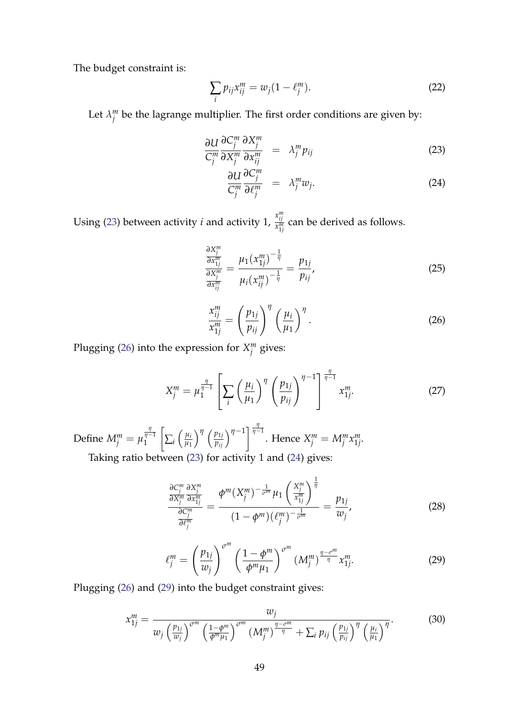The budget constraint is:

$$
\sum_{i} p_{ij} x_{ij}^{m} = w_j (1 - \ell_j^{m}). \tag{22}
$$

Let  $\lambda_i^m$  $_j^m$  be the lagrange multiplier. The first order conditions are given by:

<span id="page-48-0"></span>
$$
\frac{\partial U}{C_j^m} \frac{\partial C_j^m}{\partial X_j^m} \frac{\partial X_j^m}{\partial x_{ij}^m} = \lambda_j^m p_{ij}
$$
\n(23)

$$
\frac{\partial U}{C_j^m} \frac{\partial C_j^m}{\partial \ell_j^m} = \lambda_j^m w_j. \tag{24}
$$

Using [\(23\)](#page-48-0) between activity *i* and activity 1,  $\frac{x_{ij}^{m}}{x_{ij}^{m}}$  $\frac{m}{x_{1j}^m}$  can be derived as follows.

$$
\frac{\partial X_j^m}{\partial x_{1j}^m} = \frac{\mu_1 (x_{1j}^m)^{-\frac{1}{\eta}}}{\mu_i (x_{ij}^m)^{-\frac{1}{\eta}}} = \frac{p_{1j}}{p_{ij}},\tag{25}
$$

<span id="page-48-1"></span>
$$
\frac{x_{ij}^m}{x_{1j}^m} = \left(\frac{p_{1j}}{p_{ij}}\right)^{\eta} \left(\frac{\mu_i}{\mu_1}\right)^{\eta}.
$$
\n(26)

Plugging [\(26\)](#page-48-1) into the expression for *X m j* gives:

$$
X_j^m = \mu_1^{\frac{\eta}{\eta - 1}} \left[ \sum_i \left( \frac{\mu_i}{\mu_1} \right)^{\eta} \left( \frac{p_{1j}}{p_{ij}} \right)^{\eta - 1} \right]^{\frac{\eta}{\eta - 1}} x_{1j}^m. \tag{27}
$$

Define  $M_j^m = \mu$ *η η*−1 1  $\sqrt{ }$  $\sum_i \left( \frac{\mu_i}{\mu_1} \right)$ *µ*1  $\int^{\eta} \left( \frac{p_{1j}}{p_{ij}} \right)^{\eta-1} \left| \frac{\frac{\eta}{\eta-1}}{\eta-1} \right|$ . Hence  $X_j^m = M_j^m x_{1j}^m$ 1*j* . Taking ratio between [\(23\)](#page-48-0) for activity 1 and [\(24\)](#page-48-0) gives:

$$
\frac{\frac{\partial C_j^m}{\partial X_j^m} \frac{\partial X_j^m}{\partial x_{1j}^m}}{\frac{\partial C_j^m}{\partial \ell_j^m}} = \frac{\phi^m (X_j^m)^{-\frac{1}{\sigma^m}} \mu_1 \left(\frac{X_j^m}{x_{1j}^m}\right)^{\frac{1}{\eta}}}{(1-\phi^m)(\ell_j^m)^{-\frac{1}{\sigma^m}}} = \frac{p_{1j}}{w_j},\tag{28}
$$

<span id="page-48-2"></span>
$$
\ell_j^m = \left(\frac{p_{1j}}{w_j}\right)^{\sigma^m} \left(\frac{1-\phi^m}{\phi^m \mu_1}\right)^{\sigma^m} \left(M_j^m\right)^{\frac{\eta-\sigma^m}{\eta}} x_{1j}^m. \tag{29}
$$

Plugging [\(26\)](#page-48-1) and [\(29\)](#page-48-2) into the budget constraint gives:

$$
x_{1j}^m = \frac{w_j}{w_j \left(\frac{p_{1j}}{w_j}\right)^{\sigma^m} \left(\frac{1-\phi^m}{\phi^m \mu_1}\right)^{\sigma^m} \left(M_j^m\right)^{\frac{\eta-\sigma^m}{\eta}} + \sum_i p_{ij} \left(\frac{p_{1j}}{p_{ij}}\right)^{\eta} \left(\frac{\mu_i}{\mu_1}\right)^{\eta}}.
$$
(30)